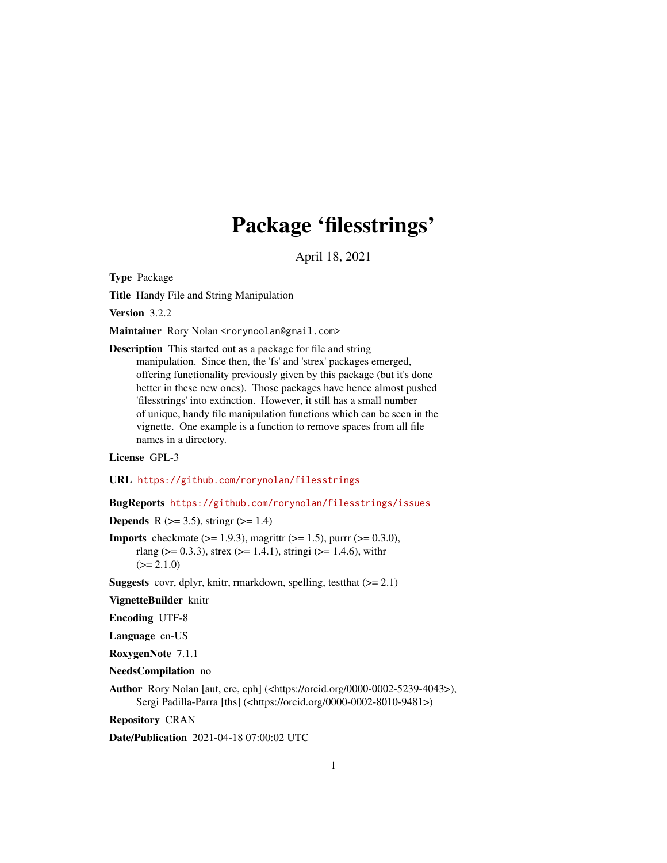# Package 'filesstrings'

April 18, 2021

<span id="page-0-0"></span>Type Package

Title Handy File and String Manipulation

Version 3.2.2

Maintainer Rory Nolan <rorynoolan@gmail.com>

Description This started out as a package for file and string manipulation. Since then, the 'fs' and 'strex' packages emerged, offering functionality previously given by this package (but it's done better in these new ones). Those packages have hence almost pushed 'filesstrings' into extinction. However, it still has a small number of unique, handy file manipulation functions which can be seen in the vignette. One example is a function to remove spaces from all file names in a directory.

#### License GPL-3

URL <https://github.com/rorynolan/filesstrings>

### BugReports <https://github.com/rorynolan/filesstrings/issues>

**Depends** R ( $>= 3.5$ ), stringr ( $>= 1.4$ )

**Imports** checkmate ( $> = 1.9.3$ ), magrittr ( $> = 1.5$ ), purrr ( $> = 0.3.0$ ), rlang ( $> = 0.3.3$ ), strex ( $> = 1.4.1$ ), stringi ( $> = 1.4.6$ ), with r  $(>= 2.1.0)$ 

**Suggests** covr, dplyr, knitr, rmarkdown, spelling, test that  $(>= 2.1)$ 

VignetteBuilder knitr

Encoding UTF-8

Language en-US

RoxygenNote 7.1.1

NeedsCompilation no

Author Rory Nolan [aut, cre, cph] (<https://orcid.org/0000-0002-5239-4043>), Sergi Padilla-Parra [ths] (<https://orcid.org/0000-0002-8010-9481>)

Repository CRAN

Date/Publication 2021-04-18 07:00:02 UTC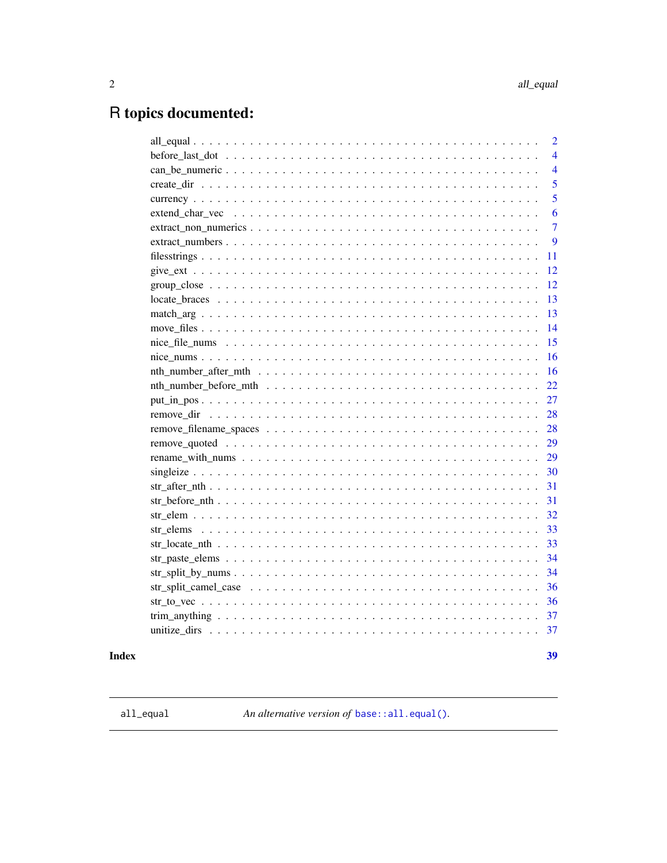$39$ 

# <span id="page-1-0"></span>R topics documented:

| $\overline{2}$                                                                                                     |
|--------------------------------------------------------------------------------------------------------------------|
| $\overline{4}$                                                                                                     |
| $\overline{4}$                                                                                                     |
| 5                                                                                                                  |
| $\overline{5}$                                                                                                     |
| 6                                                                                                                  |
| $\overline{7}$                                                                                                     |
| 9                                                                                                                  |
| 11                                                                                                                 |
| 12                                                                                                                 |
| 12                                                                                                                 |
| 13                                                                                                                 |
| 13                                                                                                                 |
| 14                                                                                                                 |
| 15                                                                                                                 |
| 16                                                                                                                 |
| 16                                                                                                                 |
| 22                                                                                                                 |
| 27                                                                                                                 |
| 28                                                                                                                 |
| 28                                                                                                                 |
| 29                                                                                                                 |
| 29                                                                                                                 |
| 30                                                                                                                 |
| 31<br>$str\_after\_nth \ldots \ldots \ldots \ldots \ldots \ldots \ldots \ldots \ldots \ldots \ldots \ldots \ldots$ |
| 31                                                                                                                 |
| 32                                                                                                                 |
| 33                                                                                                                 |
| 33                                                                                                                 |
| 34                                                                                                                 |
| 34                                                                                                                 |
| 36                                                                                                                 |
| 36                                                                                                                 |
| 37                                                                                                                 |
|                                                                                                                    |
|                                                                                                                    |

## **Index**

all\_equal

An alternative version of base: : all.equal().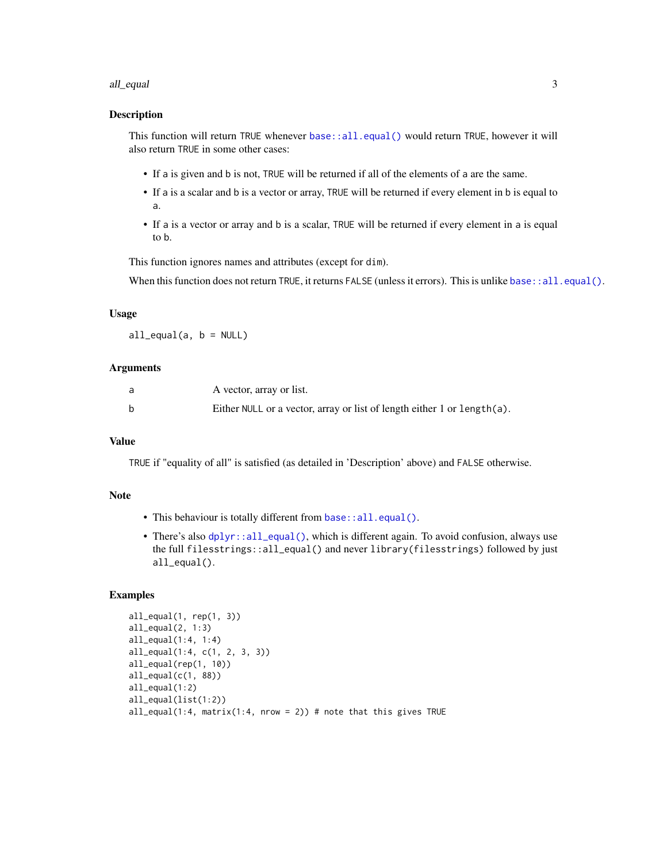#### <span id="page-2-0"></span>all\_equal 3

#### Description

This function will return TRUE whenever [base::all.equal\(\)](#page-0-0) would return TRUE, however it will also return TRUE in some other cases:

- If a is given and b is not, TRUE will be returned if all of the elements of a are the same.
- If a is a scalar and b is a vector or array, TRUE will be returned if every element in b is equal to a.
- If a is a vector or array and b is a scalar, TRUE will be returned if every element in a is equal to b.

This function ignores names and attributes (except for dim).

When this function does not return TRUE, it returns FALSE (unless it errors). This is unlike [base::all.equal\(\)](#page-0-0).

#### Usage

 $all\_equal(a, b = NULL)$ 

#### Arguments

| A vector, array or list.                                                 |
|--------------------------------------------------------------------------|
| Either NULL or a vector, array or list of length either 1 or length (a). |

### Value

TRUE if "equality of all" is satisfied (as detailed in 'Description' above) and FALSE otherwise.

#### Note

- This behaviour is totally different from [base::all.equal\(\)](#page-0-0).
- There's also  $dplyr: all\_equal()$ , which is different again. To avoid confusion, always use the full filesstrings::all\_equal() and never library(filesstrings) followed by just all\_equal().

#### Examples

```
all_equal(1, rep(1, 3))
all_equal(2, 1:3)
all_equal(1:4, 1:4)
all_equal(1:4, c(1, 2, 3, 3))
all_equal(rep(1, 10))
all\_equal(c(1, 88))all_equal(1:2)
all_equal(list(1:2))
all_equal(1:4, matrix(1:4, nrow = 2)) # note that this gives TRUE
```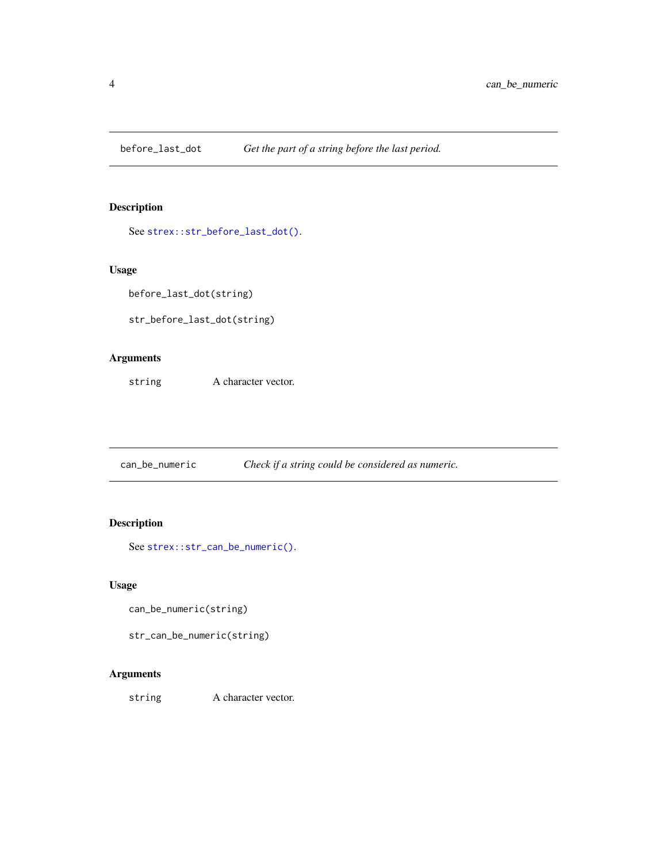<span id="page-3-0"></span>before\_last\_dot *Get the part of a string before the last period.*

### Description

See [strex::str\\_before\\_last\\_dot\(\)](#page-0-0).

### Usage

before\_last\_dot(string)

str\_before\_last\_dot(string)

### Arguments

string A character vector.

can\_be\_numeric *Check if a string could be considered as numeric.*

### Description

See [strex::str\\_can\\_be\\_numeric\(\)](#page-0-0).

#### Usage

can\_be\_numeric(string)

str\_can\_be\_numeric(string)

### Arguments

string A character vector.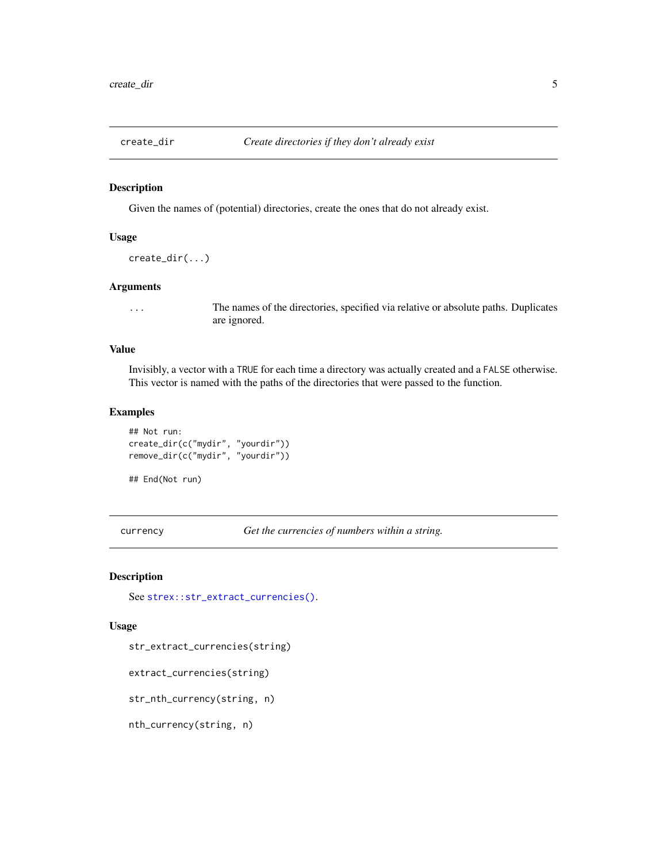<span id="page-4-0"></span>

#### Description

Given the names of (potential) directories, create the ones that do not already exist.

#### Usage

```
create_dir(...)
```
### Arguments

... The names of the directories, specified via relative or absolute paths. Duplicates are ignored.

### Value

Invisibly, a vector with a TRUE for each time a directory was actually created and a FALSE otherwise. This vector is named with the paths of the directories that were passed to the function.

#### Examples

```
## Not run:
create_dir(c("mydir", "yourdir"))
remove_dir(c("mydir", "yourdir"))
```
## End(Not run)

currency *Get the currencies of numbers within a string.*

### Description

See [strex::str\\_extract\\_currencies\(\)](#page-0-0).

#### Usage

str\_extract\_currencies(string)

extract\_currencies(string)

str\_nth\_currency(string, n)

nth\_currency(string, n)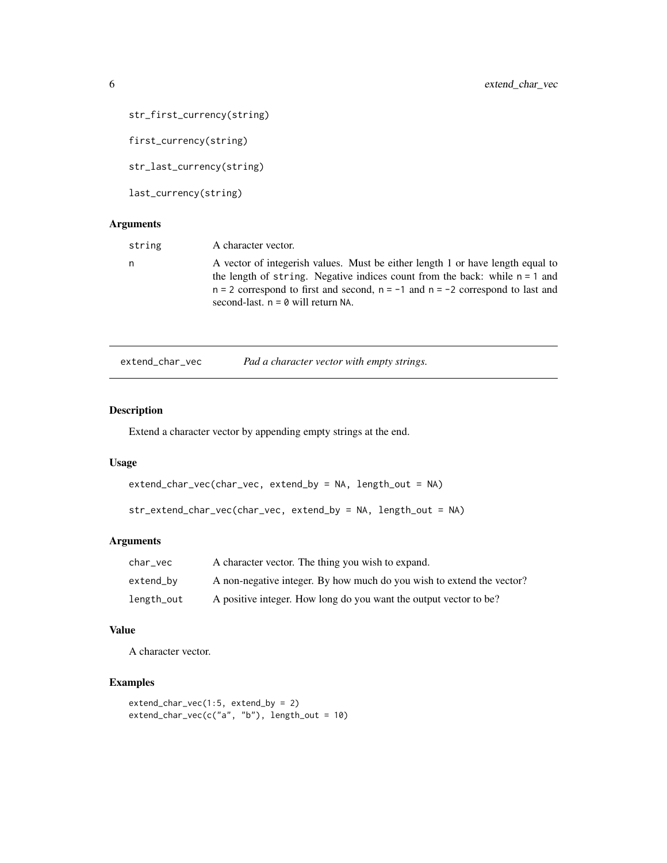```
str_first_currency(string)
```
first\_currency(string)

str\_last\_currency(string)

last\_currency(string)

#### Arguments

| string | A character vector.                                                                                                                                                                                                                                                                             |
|--------|-------------------------------------------------------------------------------------------------------------------------------------------------------------------------------------------------------------------------------------------------------------------------------------------------|
| n      | A vector of integerish values. Must be either length 1 or have length equal to<br>the length of string. Negative indices count from the back: while $n = 1$ and<br>$n = 2$ correspond to first and second, $n = -1$ and $n = -2$ correspond to last and<br>second-last, $n = 0$ will return NA. |

|  | extend_char_vec |  | Pad a character vector with empty strings. |  |
|--|-----------------|--|--------------------------------------------|--|
|--|-----------------|--|--------------------------------------------|--|

#### Description

Extend a character vector by appending empty strings at the end.

#### Usage

```
extend_char_vec(char_vec, extend_by = NA, length_out = NA)
```

```
str_extend_char_vec(char_vec, extend_by = NA, length_out = NA)
```
#### Arguments

| char vec   | A character vector. The thing you wish to expand.                     |
|------------|-----------------------------------------------------------------------|
| extend_by  | A non-negative integer. By how much do you wish to extend the vector? |
| length_out | A positive integer. How long do you want the output vector to be?     |

### Value

A character vector.

### Examples

```
extend_char_vec(1:5, extend_by = 2)
extend\_char\_vec(c("a", "b"), length\_out = 10)
```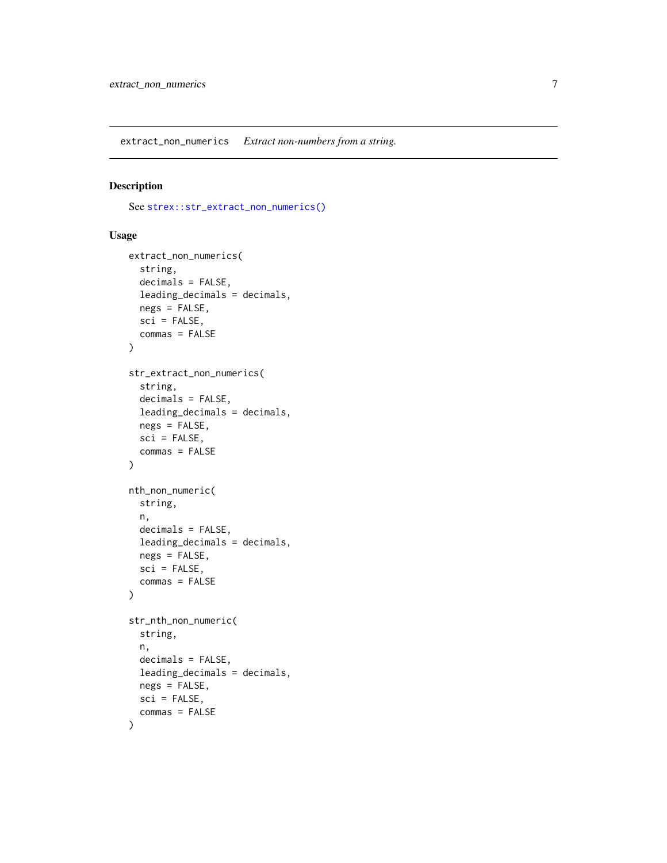<span id="page-6-0"></span>extract\_non\_numerics *Extract non-numbers from a string.*

### Description

See [strex::str\\_extract\\_non\\_numerics\(\)](#page-0-0)

#### Usage

```
extract_non_numerics(
  string,
  decimals = FALSE,
  leading_decimals = decimals,
 negs = FALSE,
  sci = FALSE,commas = FALSE
)
str_extract_non_numerics(
  string,
  decimals = FALSE,
  leading_decimals = decimals,
  negs = FALSE,
  sci = FALSE,commas = FALSE
\mathcal{L}nth_non_numeric(
  string,
 n,
  decimals = FALSE,
  leading_decimals = decimals,
 negs = FALSE,
  sci = FALSE,commas = FALSE
)
str_nth_non_numeric(
  string,
  n,
  decimals = FALSE,
  leading_decimals = decimals,
 negs = FALSE,
  sci = FALSE,commas = FALSE
)
```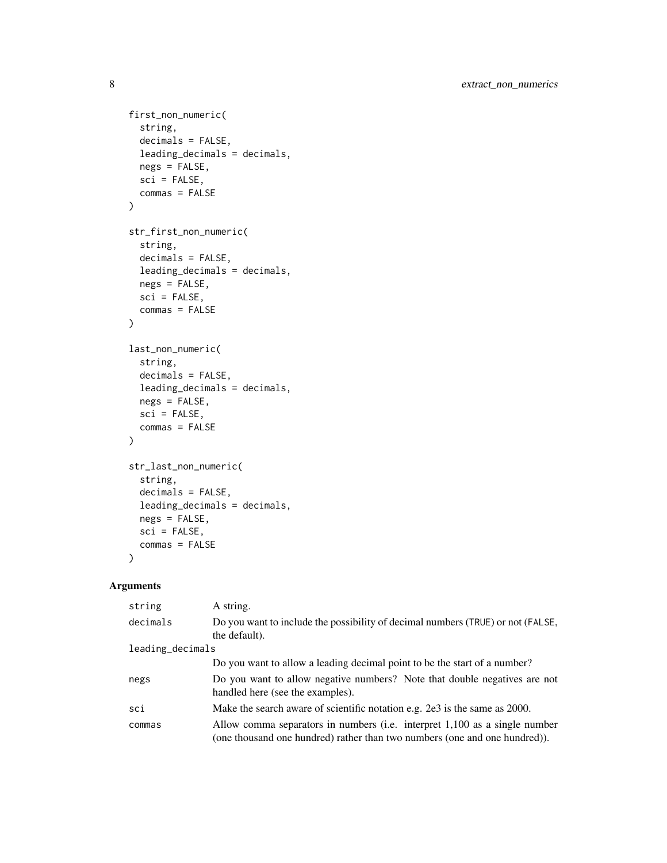```
first_non_numeric(
  string,
  decimals = FALSE,
  leading_decimals = decimals,
 negs = FALSE,
  sci = FALSE,commas = FALSE
\mathcal{L}str_first_non_numeric(
  string,
  decimals = FALSE,
 leading_decimals = decimals,
 negs = FALSE,sci = FALSE,
  commas = FALSE
\mathcal{L}last_non_numeric(
  string,
 decimals = FALSE,
 leading_decimals = decimals,
 negs = FALSE,
  sci = FALSE,commas = FALSE
\mathcal{L}str_last_non_numeric(
  string,
 decimals = FALSE,
  leading_decimals = decimals,
 negs = FALSE,
  sci = FALSE,commas = FALSE
```
 $\mathcal{L}$ 

| string           | A string.                                                                                                                                                |
|------------------|----------------------------------------------------------------------------------------------------------------------------------------------------------|
| decimals         | Do you want to include the possibility of decimal numbers (TRUE) or not (FALSE,<br>the default).                                                         |
| leading_decimals |                                                                                                                                                          |
|                  | Do you want to allow a leading decimal point to be the start of a number?                                                                                |
| negs             | Do you want to allow negative numbers? Note that double negatives are not<br>handled here (see the examples).                                            |
| sci              | Make the search aware of scientific notation e.g. 2e3 is the same as 2000.                                                                               |
| commas           | Allow comma separators in numbers (i.e. interpret 1,100 as a single number<br>(one thousand one hundred) rather than two numbers (one and one hundred)). |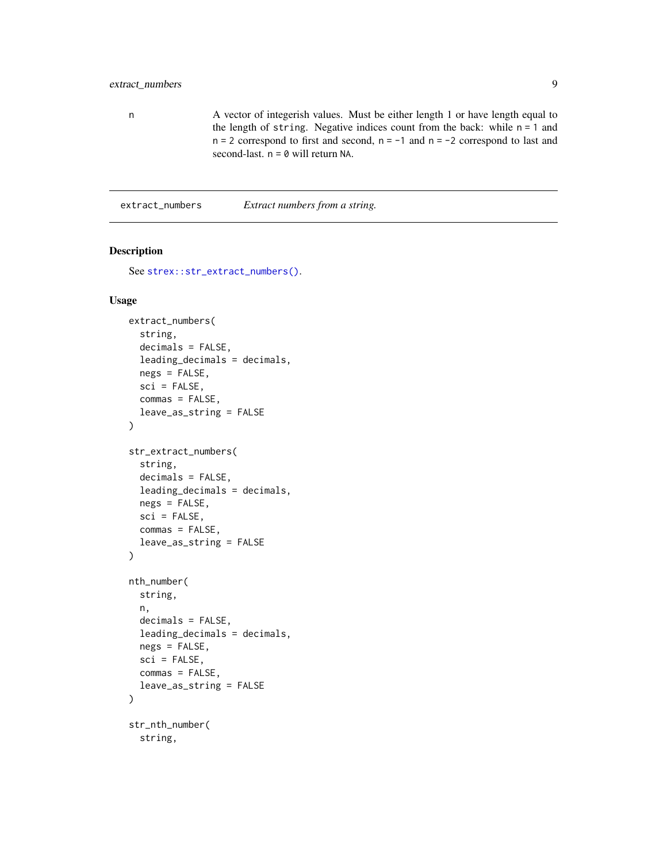### <span id="page-8-0"></span>extract\_numbers 9

n A vector of integerish values. Must be either length 1 or have length equal to the length of string. Negative indices count from the back: while  $n = 1$  and  $n = 2$  correspond to first and second,  $n = -1$  and  $n = -2$  correspond to last and second-last.  $n = 0$  will return NA.

extract\_numbers *Extract numbers from a string.*

### <span id="page-8-1"></span>Description

```
See strex::str_extract_numbers().
```
#### Usage

```
extract_numbers(
  string,
  decimals = FALSE,
  leading_decimals = decimals,
  negs = FALSE,
  sci = FALSE,commas = FALSE,leave_as_string = FALSE
)
str_extract_numbers(
  string,
  decimals = FALSE,
  leading_decimals = decimals,
  negs = FALSE,
  sci = FALSE,commas = FALSE,
  leave_as_string = FALSE
\lambdanth_number(
  string,
  n,
  decimals = FALSE,
  leading_decimals = decimals,
  negs = FALSE,
  sci = FALSE,commas = FALSE,
  leave_as_string = FALSE
)
str_nth_number(
  string,
```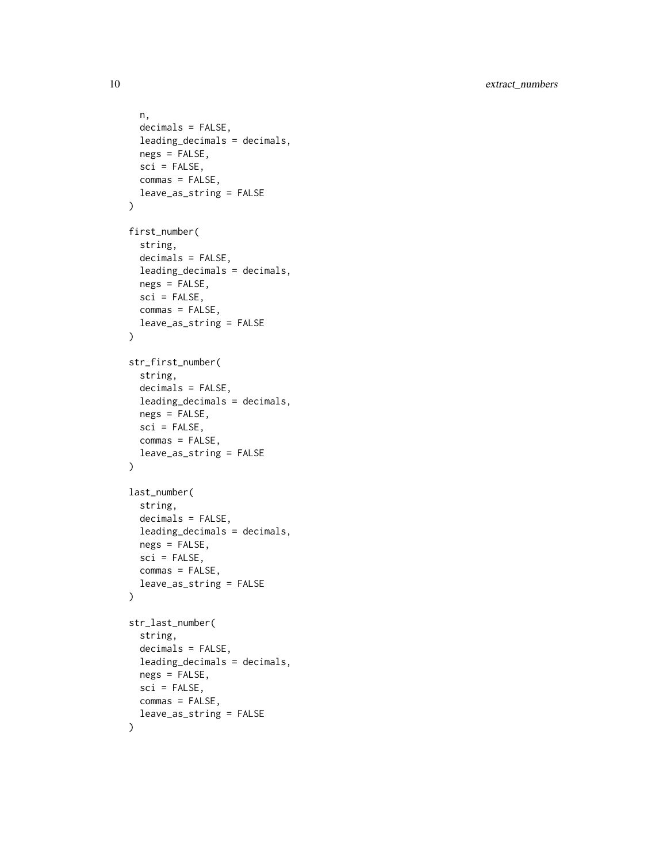10 extract\_numbers

```
n,
  decimals = FALSE,
  leading_decimals = decimals,
  negs = FALSE,
  sci = FALSE,commas = FALSE,
  leave_as_string = FALSE
\mathcal{L}first_number(
  string,
  decimals = FALSE,
  leading_decimals = decimals,
  negs = FALSE,
  sci = FALSE,commas = FALSE,
  leave_as_string = FALSE
\mathcal{L}str_first_number(
  string,
  decimals = FALSE,
  leading_decimals = decimals,
  negs = FALSE,
  sci = FALSE,commas = FALSE,leave_as_string = FALSE
\mathcal{L}last_number(
  string,
  decimals = FALSE,
  leading_decimals = decimals,
  negs = FALSE,
  sci = FALSE,commas = FALSE,
  leave_as_string = FALSE
\mathcal{L}str_last_number(
  string,
  decimals = FALSE,
  leading_decimals = decimals,
  negs = FALSE,
  sci = FALSE,commas = FALSE,leave_as_string = FALSE
\mathcal{L}
```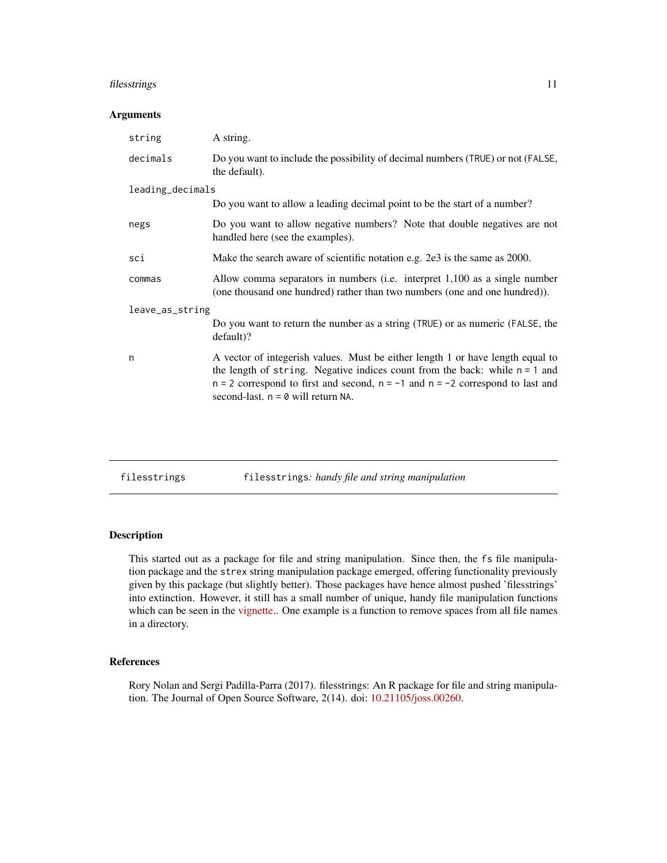### <span id="page-10-0"></span>filesstrings 11

#### Arguments

| string           | A string.                                                                                                                                                                                                                                                                                       |  |  |
|------------------|-------------------------------------------------------------------------------------------------------------------------------------------------------------------------------------------------------------------------------------------------------------------------------------------------|--|--|
| decimals         | Do you want to include the possibility of decimal numbers (TRUE) or not (FALSE,<br>the default).                                                                                                                                                                                                |  |  |
| leading_decimals |                                                                                                                                                                                                                                                                                                 |  |  |
|                  | Do you want to allow a leading decimal point to be the start of a number?                                                                                                                                                                                                                       |  |  |
| negs             | Do you want to allow negative numbers? Note that double negatives are not<br>handled here (see the examples).                                                                                                                                                                                   |  |  |
| sci              | Make the search aware of scientific notation e.g. 2e3 is the same as 2000.                                                                                                                                                                                                                      |  |  |
| commas           | Allow comma separators in numbers (i.e. interpret 1,100 as a single number<br>(one thousand one hundred) rather than two numbers (one and one hundred)).                                                                                                                                        |  |  |
| leave_as_string  |                                                                                                                                                                                                                                                                                                 |  |  |
|                  | Do you want to return the number as a string (TRUE) or as numeric (FALSE, the<br>$default$ ?                                                                                                                                                                                                    |  |  |
| n                | A vector of integerish values. Must be either length 1 or have length equal to<br>the length of string. Negative indices count from the back: while $n = 1$ and<br>$n = 2$ correspond to first and second, $n = -1$ and $n = -2$ correspond to last and<br>second-last. $n = 0$ will return NA. |  |  |

| filesstrings |  |  | filesstrings: handy file and string manipulation |
|--------------|--|--|--------------------------------------------------|
|--------------|--|--|--------------------------------------------------|

### Description

This started out as a package for file and string manipulation. Since then, the fs file manipulation package and the strex string manipulation package emerged, offering functionality previously given by this package (but slightly better). Those packages have hence almost pushed 'filesstrings' into extinction. However, it still has a small number of unique, handy file manipulation functions which can be seen in the [vignette.](https://cran.r-project.org/package=filesstrings/vignettes/files.html). One example is a function to remove spaces from all file names in a directory.

### References

Rory Nolan and Sergi Padilla-Parra (2017). filesstrings: An R package for file and string manipulation. The Journal of Open Source Software, 2(14). doi: [10.21105/joss.00260.](https://doi.org/10.21105/joss.00260)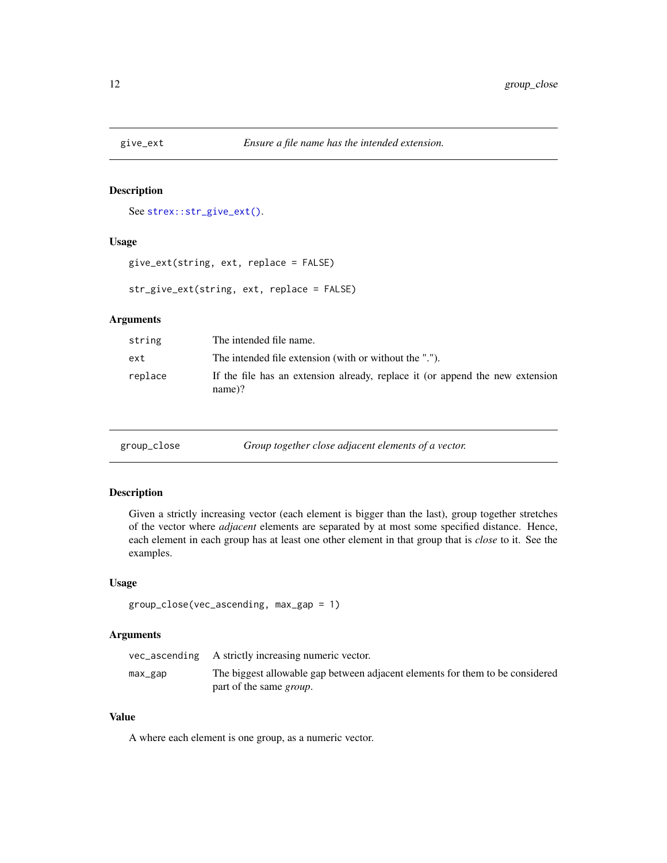<span id="page-11-0"></span>

### Description

See [strex::str\\_give\\_ext\(\)](#page-0-0).

### Usage

```
give_ext(string, ext, replace = FALSE)
```
str\_give\_ext(string, ext, replace = FALSE)

### Arguments

| string  | The intended file name.                                                                    |
|---------|--------------------------------------------------------------------------------------------|
| ext     | The intended file extension (with or without the ".").                                     |
| replace | If the file has an extension already, replace it (or append the new extension<br>$name)$ ? |

group\_close *Group together close adjacent elements of a vector.*

#### Description

Given a strictly increasing vector (each element is bigger than the last), group together stretches of the vector where *adjacent* elements are separated by at most some specified distance. Hence, each element in each group has at least one other element in that group that is *close* to it. See the examples.

#### Usage

```
group_close(vec_ascending, max_gap = 1)
```
### Arguments

|         | vec_ascending A strictly increasing numeric vector.                           |
|---------|-------------------------------------------------------------------------------|
| max_gap | The biggest allowable gap between adjacent elements for them to be considered |
|         | part of the same <i>group</i> .                                               |

### Value

A where each element is one group, as a numeric vector.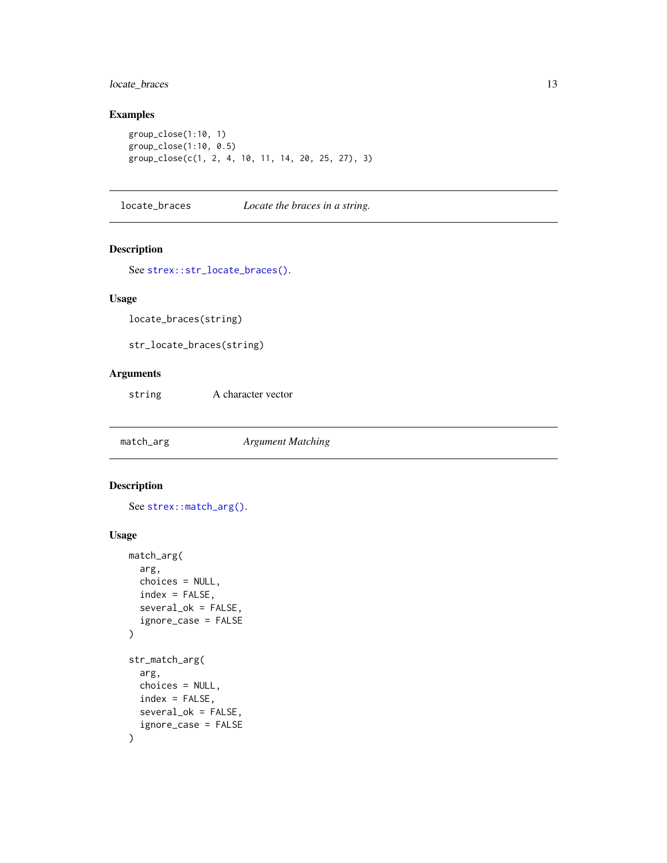### <span id="page-12-0"></span>locate\_braces 13

### Examples

```
group_close(1:10, 1)
group_close(1:10, 0.5)
group_close(c(1, 2, 4, 10, 11, 14, 20, 25, 27), 3)
```
locate\_braces *Locate the braces in a string.*

#### Description

See [strex::str\\_locate\\_braces\(\)](#page-0-0).

### Usage

locate\_braces(string)

str\_locate\_braces(string)

### Arguments

string A character vector

match\_arg *Argument Matching*

### Description

See [strex::match\\_arg\(\)](#page-0-0).

### Usage

```
match_arg(
  arg,
 choices = NULL,
  index = FALSE,several_ok = FALSE,
  ignore_case = FALSE
)
str_match_arg(
  arg,
 choices = NULL,
 index = FALSE,
  several_ok = FALSE,
  ignore_case = FALSE
\mathcal{E}
```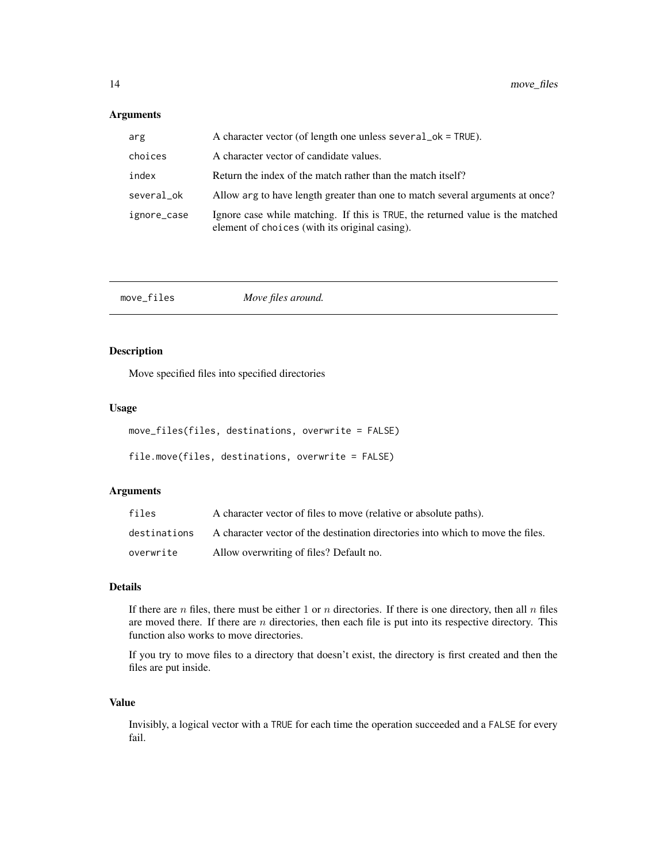### <span id="page-13-0"></span>Arguments

| arg         | A character vector (of length one unless several _ok = TRUE).                                                                    |
|-------------|----------------------------------------------------------------------------------------------------------------------------------|
| choices     | A character vector of candidate values.                                                                                          |
| index       | Return the index of the match rather than the match itself?                                                                      |
| several_ok  | Allow arg to have length greater than one to match several arguments at once?                                                    |
| ignore_case | Ignore case while matching. If this is TRUE, the returned value is the matched<br>element of choices (with its original casing). |

| move_files | Move files around. |  |
|------------|--------------------|--|
|------------|--------------------|--|

### Description

Move specified files into specified directories

#### Usage

| move_files(files, destinations, overwrite = FALSE) |  |  |  |
|----------------------------------------------------|--|--|--|
|----------------------------------------------------|--|--|--|

```
file.move(files, destinations, overwrite = FALSE)
```
### Arguments

| files        | A character vector of files to move (relative or absolute paths).               |
|--------------|---------------------------------------------------------------------------------|
| destinations | A character vector of the destination directories into which to move the files. |
| overwrite    | Allow overwriting of files? Default no.                                         |

#### Details

If there are  $n$  files, there must be either 1 or  $n$  directories. If there is one directory, then all  $n$  files are moved there. If there are  $n$  directories, then each file is put into its respective directory. This function also works to move directories.

If you try to move files to a directory that doesn't exist, the directory is first created and then the files are put inside.

#### Value

Invisibly, a logical vector with a TRUE for each time the operation succeeded and a FALSE for every fail.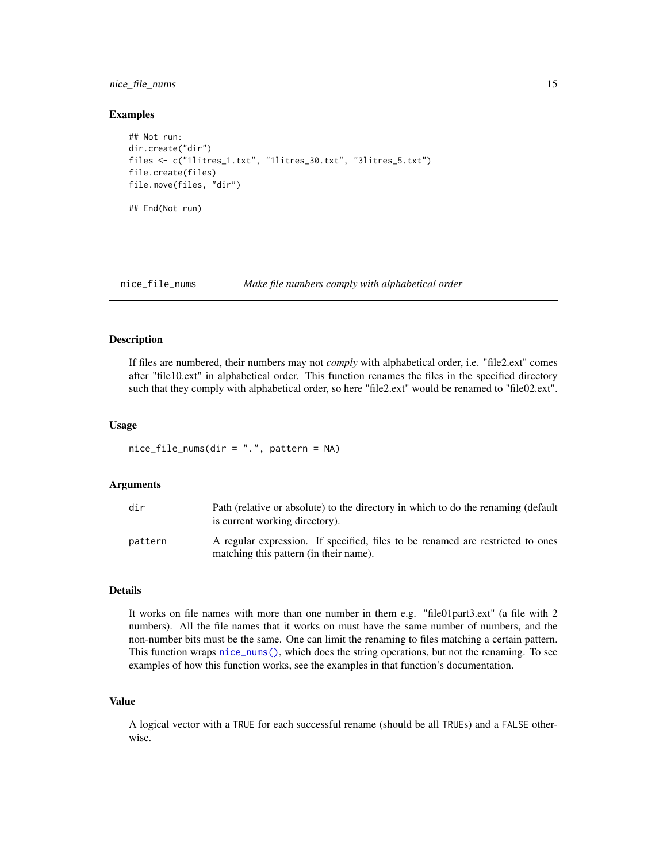### <span id="page-14-0"></span>nice\_file\_nums 15

#### Examples

```
## Not run:
dir.create("dir")
files <- c("1litres_1.txt", "1litres_30.txt", "3litres_5.txt")
file.create(files)
file.move(files, "dir")
## End(Not run)
```
#### nice\_file\_nums *Make file numbers comply with alphabetical order*

#### Description

If files are numbered, their numbers may not *comply* with alphabetical order, i.e. "file2.ext" comes after "file10.ext" in alphabetical order. This function renames the files in the specified directory such that they comply with alphabetical order, so here "file2.ext" would be renamed to "file02.ext".

#### Usage

 $nice_file\_nums$ (dir = ".", pattern = NA)

### Arguments

| dir     | Path (relative or absolute) to the directory in which to do the renaming (default<br>is current working directory).      |
|---------|--------------------------------------------------------------------------------------------------------------------------|
| pattern | A regular expression. If specified, files to be renamed are restricted to ones<br>matching this pattern (in their name). |

#### Details

It works on file names with more than one number in them e.g. "file01part3.ext" (a file with 2 numbers). All the file names that it works on must have the same number of numbers, and the non-number bits must be the same. One can limit the renaming to files matching a certain pattern. This function wraps [nice\\_nums\(\)](#page-15-1), which does the string operations, but not the renaming. To see examples of how this function works, see the examples in that function's documentation.

#### Value

A logical vector with a TRUE for each successful rename (should be all TRUEs) and a FALSE otherwise.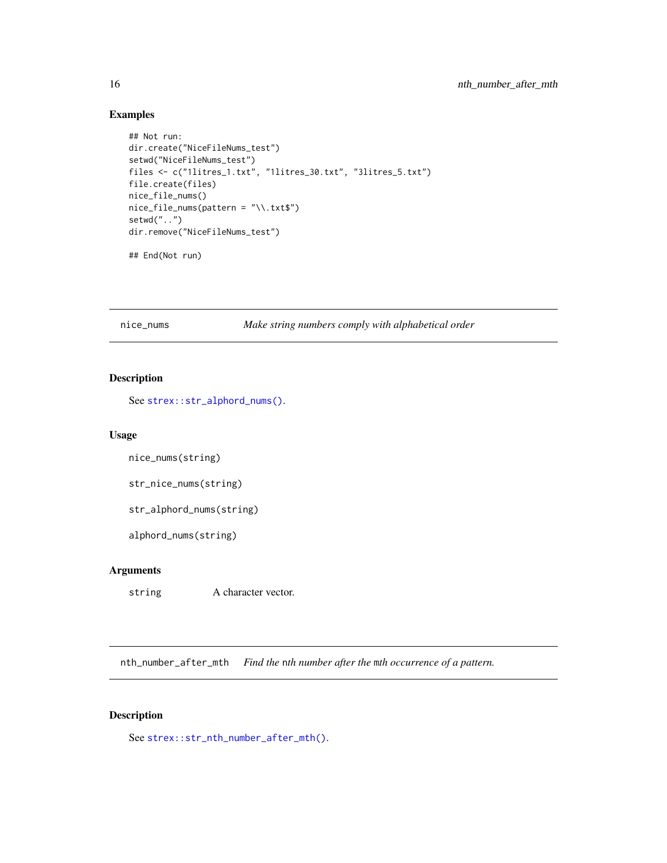### <span id="page-15-0"></span>Examples

```
## Not run:
dir.create("NiceFileNums_test")
setwd("NiceFileNums_test")
files <- c("1litres_1.txt", "1litres_30.txt", "3litres_5.txt")
file.create(files)
nice_file_nums()
nice_file_nums(pattern = "\\.txt$")
setwd("..")
dir.remove("NiceFileNums_test")
```
## End(Not run)

<span id="page-15-1"></span>nice\_nums *Make string numbers comply with alphabetical order*

### Description

See [strex::str\\_alphord\\_nums\(\)](#page-0-0).

#### Usage

```
nice_nums(string)
```
str\_nice\_nums(string)

str\_alphord\_nums(string)

alphord\_nums(string)

### Arguments

string A character vector.

nth\_number\_after\_mth *Find the* n*th number after the* m*th occurrence of a pattern.*

### Description

See [strex::str\\_nth\\_number\\_after\\_mth\(\)](#page-0-0).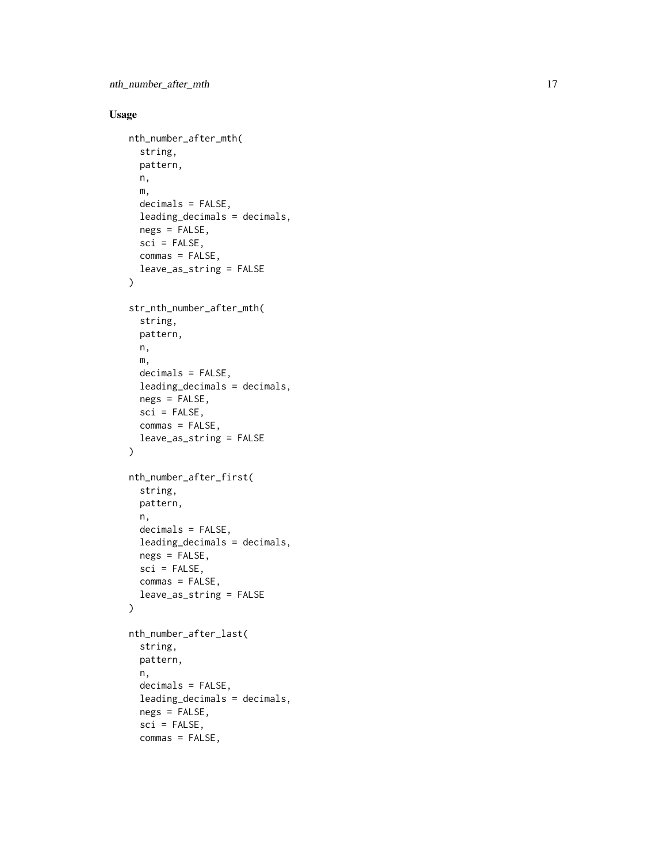### Usage

```
nth_number_after_mth(
  string,
 pattern,
 n,
 m,
  decimals = FALSE,
 leading_decimals = decimals,
 negs = FALSE,
  sci = FALSE,
  commas = FALSE,
  leave_as_string = FALSE
\mathcal{L}str_nth_number_after_mth(
  string,
 pattern,
 n,
 m,
  decimals = FALSE,
  leading_decimals = decimals,
  ness = FALSE,sci = FALSE,commas = FALSE,
  leave_as_string = FALSE
\lambdanth_number_after_first(
  string,
 pattern,
 n,
  decimals = FALSE,
  leading_decimals = decimals,
 negs = FALSE,
  sci = FALSE,commas = FALSE,
  leave_as_string = FALSE
\mathcal{L}nth_number_after_last(
  string,
 pattern,
 n,
 decimals = FALSE,
  leading_decimals = decimals,
  negs = FALSE,
  sci = FALSE,commas = FALSE,
```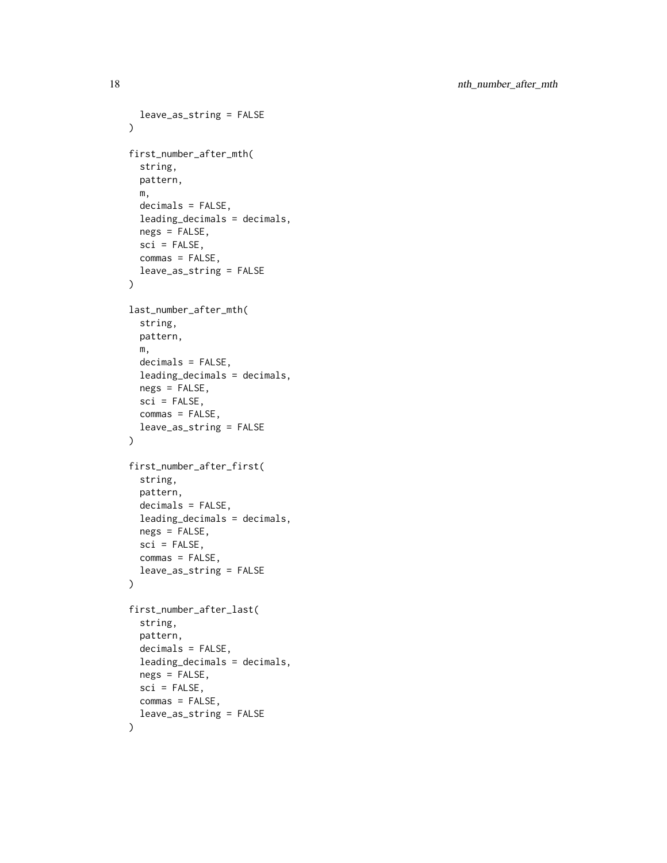```
leave_as_string = FALSE
\lambdafirst_number_after_mth(
  string,
  pattern,
 m,
  decimals = FALSE,
  leading_decimals = decimals,
 negs = FALSE,
  sci = FALSE,commas = FALSE,
  leave_as_string = FALSE
)
last_number_after_mth(
  string,
 pattern,
 m,
  decimals = FALSE,
  leading_decimals = decimals,
 negs = FALSE,
  sci = FALSE,commas = FALSE,
  leave_as_string = FALSE
\mathcal{L}first_number_after_first(
  string,
 pattern,
  decimals = FALSE,
  leading_decimals = decimals,
  negs = FALSE,
  sci = FALSE,commas = FALSE,
  leave_as_string = FALSE
)
first_number_after_last(
  string,
 pattern,
  decimals = FALSE,
  leading_decimals = decimals,
  negs = FALSE,
  sci = FALSE,commas = FALSE,leave_as_string = FALSE
\mathcal{L}
```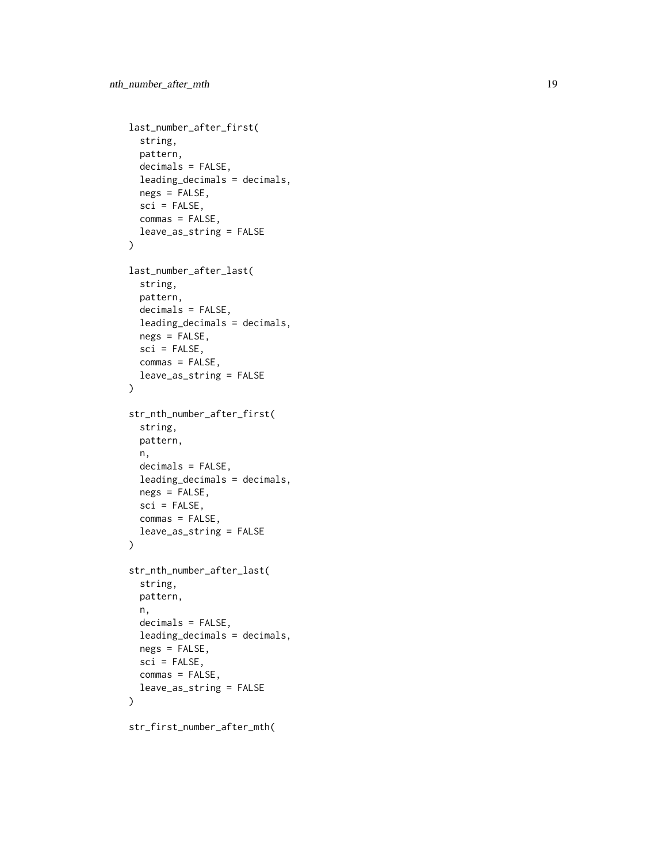```
last_number_after_first(
  string,
 pattern,
  decimals = FALSE,
  leading_decimals = decimals,
  negs = FALSE,
  sci = FALSE,commas = FALSE,
  leave_as_string = FALSE
\mathcal{L}last_number_after_last(
  string,
 pattern,
  decimals = FALSE,
  leading_decimals = decimals,
 negs = FALSE,
 sci = FALSE,commas = FALSE,
  leave_as_string = FALSE
\mathcal{L}str_nth_number_after_first(
  string,
 pattern,
 n,
  decimals = FALSE,
  leading_decimals = decimals,
  negs = FALSE,
  sci = FALSE,commas = FALSE,leave_as_string = FALSE
\lambdastr_nth_number_after_last(
  string,
 pattern,
  n,
  decimals = FALSE,
  leading_decimals = decimals,
 negs = FALSE,
  sci = FALSE,commas = FALSE,leave_as_string = FALSE
)
```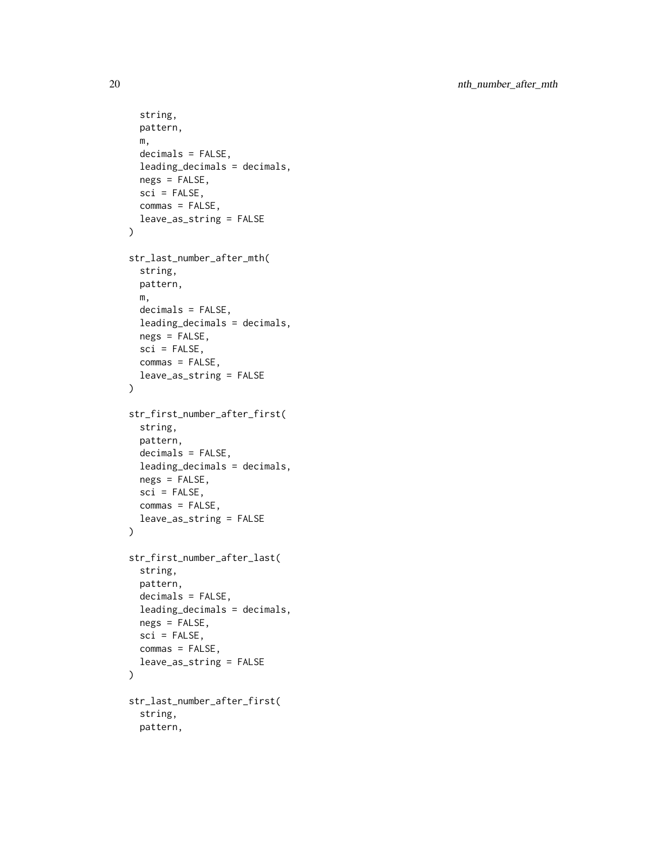```
string,
  pattern,
  m,
  decimals = FALSE,
  leading_decimals = decimals,
  negs = FALSE,
  sci = FALSE,commas = FALSE,
  leave_as_string = FALSE
\mathcal{L}str_last_number_after_mth(
  string,
 pattern,
 m,
  decimals = FALSE,
  leading_decimals = decimals,
 negs = FALSE,
 sci = FALSE,commas = FALSE,
  leave_as_string = FALSE
\mathcal{L}str_first_number_after_first(
  string,
 pattern,
  decimals = FALSE,
  leading_decimals = decimals,
  negs = FALSE,
  sci = FALSE,commas = FALSE,
  leave_as_string = FALSE
\mathcal{L}str_first_number_after_last(
  string,
 pattern,
  decimals = FALSE,
  leading_decimals = decimals,
 negs = FALSE,
  sci = FALSE,commas = FALSE,
  leave_as_string = FALSE
\mathcal{L}str_last_number_after_first(
  string,
  pattern,
```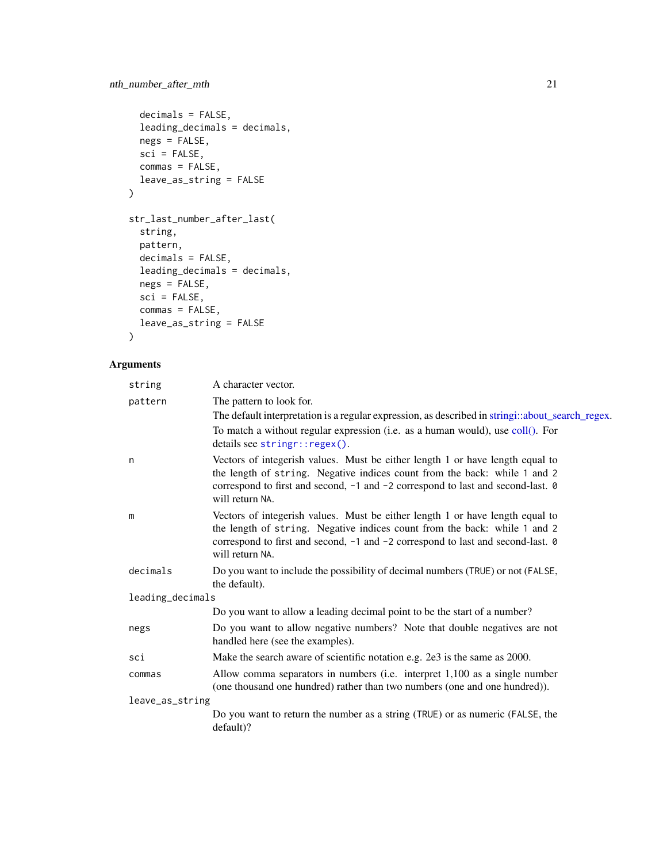```
decimals = FALSE,
  leading_decimals = decimals,
 negs = FALSE,
 sci = FALSE,commas = FALSE,
 leave_as_string = FALSE
\mathcal{L}str_last_number_after_last(
 string,
 pattern,
 decimals = FALSE,
 leading_decimals = decimals,
 negs = FALSE,
 sci = FALSE,
 commas = FALSE,leave_as_string = FALSE
\mathcal{L}
```

| string           | A character vector.                                                                                                                                                                                                                                              |
|------------------|------------------------------------------------------------------------------------------------------------------------------------------------------------------------------------------------------------------------------------------------------------------|
| pattern          | The pattern to look for.                                                                                                                                                                                                                                         |
|                  | The default interpretation is a regular expression, as described in stringi::about_search_regex.                                                                                                                                                                 |
|                  | To match a without regular expression (i.e. as a human would), use coll(). For<br>details see stringr::regex().                                                                                                                                                  |
| n                | Vectors of integerish values. Must be either length 1 or have length equal to<br>the length of string. Negative indices count from the back: while 1 and 2<br>correspond to first and second, -1 and -2 correspond to last and second-last. 0<br>will return NA. |
| m                | Vectors of integerish values. Must be either length 1 or have length equal to<br>the length of string. Negative indices count from the back: while 1 and 2<br>correspond to first and second, -1 and -2 correspond to last and second-last. 0<br>will return NA. |
| decimals         | Do you want to include the possibility of decimal numbers (TRUE) or not (FALSE,<br>the default).                                                                                                                                                                 |
| leading_decimals |                                                                                                                                                                                                                                                                  |
|                  | Do you want to allow a leading decimal point to be the start of a number?                                                                                                                                                                                        |
| negs             | Do you want to allow negative numbers? Note that double negatives are not<br>handled here (see the examples).                                                                                                                                                    |
| sci              | Make the search aware of scientific notation e.g. 2e3 is the same as 2000.                                                                                                                                                                                       |
| commas           | Allow comma separators in numbers (i.e. interpret 1,100 as a single number<br>(one thousand one hundred) rather than two numbers (one and one hundred)).                                                                                                         |
| leave_as_string  |                                                                                                                                                                                                                                                                  |
|                  | Do you want to return the number as a string (TRUE) or as numeric (FALSE, the<br>default)?                                                                                                                                                                       |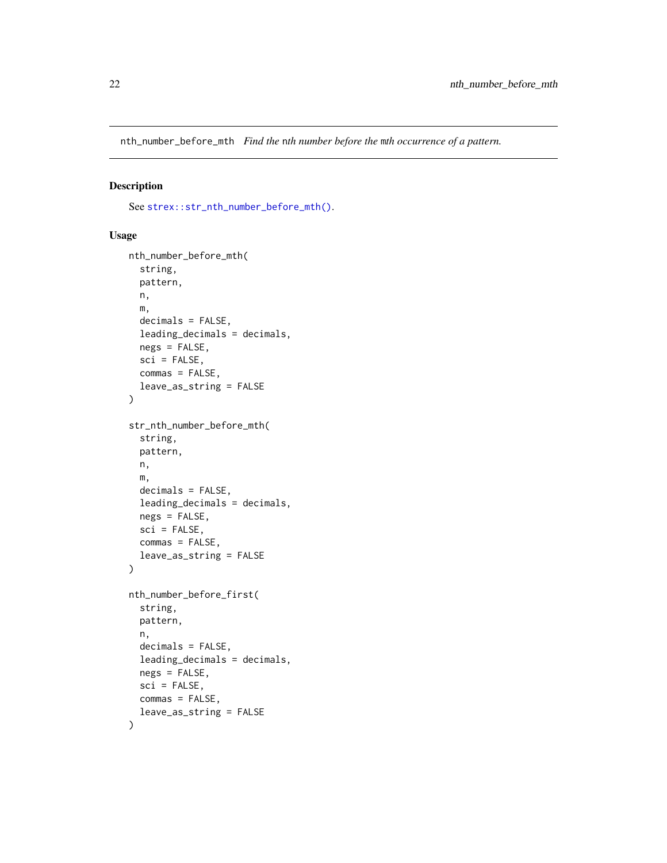<span id="page-21-0"></span>nth\_number\_before\_mth *Find the* n*th number before the* m*th occurrence of a pattern.*

### Description

See [strex::str\\_nth\\_number\\_before\\_mth\(\)](#page-0-0).

#### Usage

```
nth_number_before_mth(
  string,
 pattern,
 n,
 m,
  decimals = FALSE,
  leading_decimals = decimals,
 negs = FALSE,
  sci = FALSE,commas = FALSE,
  leave_as_string = FALSE
)
str_nth_number_before_mth(
  string,
 pattern,
 n,
 m,
 decimals = FALSE,
  leading_decimals = decimals,
  negs = FALSE,
  sci = FALSE,commas = FALSE,leave_as_string = FALSE
\mathcal{L}nth_number_before_first(
  string,
 pattern,
  n,
  decimals = FALSE,
  leading_decimals = decimals,
  ness = FALSE,
  sci = FALSE,commas = FALSE,
  leave_as_string = FALSE
)
```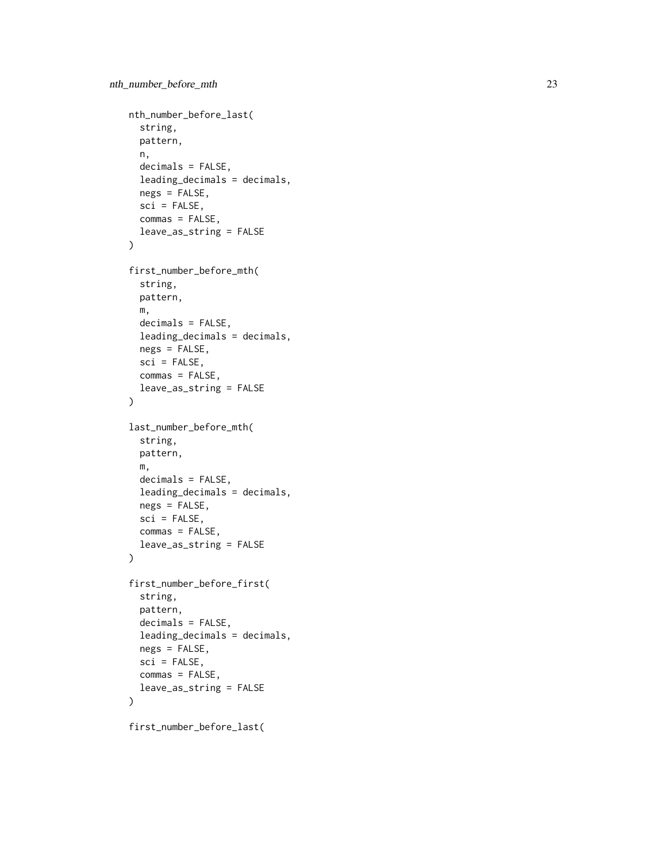```
nth_number_before_last(
  string,
 pattern,
 n,
  decimals = FALSE,
  leading_decimals = decimals,
  negs = FALSE,
  sci = FALSE,commas = FALSE,
  leave_as_string = FALSE
\mathcal{L}first_number_before_mth(
  string,
 pattern,
 m,
  decimals = FALSE,
  leading_decimals = decimals,
 negs = FALSE,
  sci = FALSE,
  commas = FALSE,
  leave_as_string = FALSE
\mathcal{L}last_number_before_mth(
  string,
  pattern,
 m,
  decimals = FALSE,
  leading_decimals = decimals,
  negs = FALSE,
  sci = FALSE,commas = FALSE,leave_as_string = FALSE
\mathcal{L}first_number_before_first(
  string,
  pattern,
  decimals = FALSE,
  leading_decimals = decimals,
  negs = FALSE,
  sci = FALSE,commas = FALSE,leave_as_string = FALSE
)
```
first\_number\_before\_last(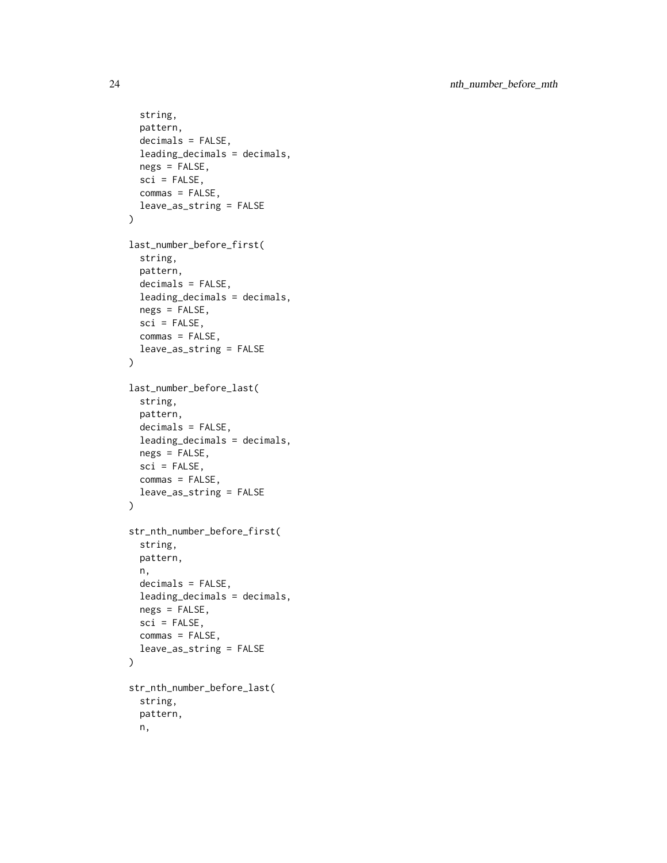```
string,
  pattern,
  decimals = FALSE,
  leading_decimals = decimals,
  negs = FALSE,
  sci = FALSE,commas = FALSE,leave_as_string = FALSE
\mathcal{L}last_number_before_first(
  string,
 pattern,
  decimals = FALSE,
  leading_decimals = decimals,
  negs = FALSE,
  sci = FALSE,
  commas = FALSE,
  leave_as_string = FALSE
\lambdalast_number_before_last(
  string,
 pattern,
  decimals = FALSE,
  leading_decimals = decimals,
  negs = FALSE,
  sci = FALSE,commas = FALSE,leave_as_string = FALSE
\mathcal{L}str_nth_number_before_first(
  string,
  pattern,
 n,
  decimals = FALSE,leading_decimals = decimals,
  negs = FALSE,
  sci = FALSE,commas = FALSE,leave_as_string = FALSE
\lambdastr_nth_number_before_last(
  string,
 pattern,
  n,
```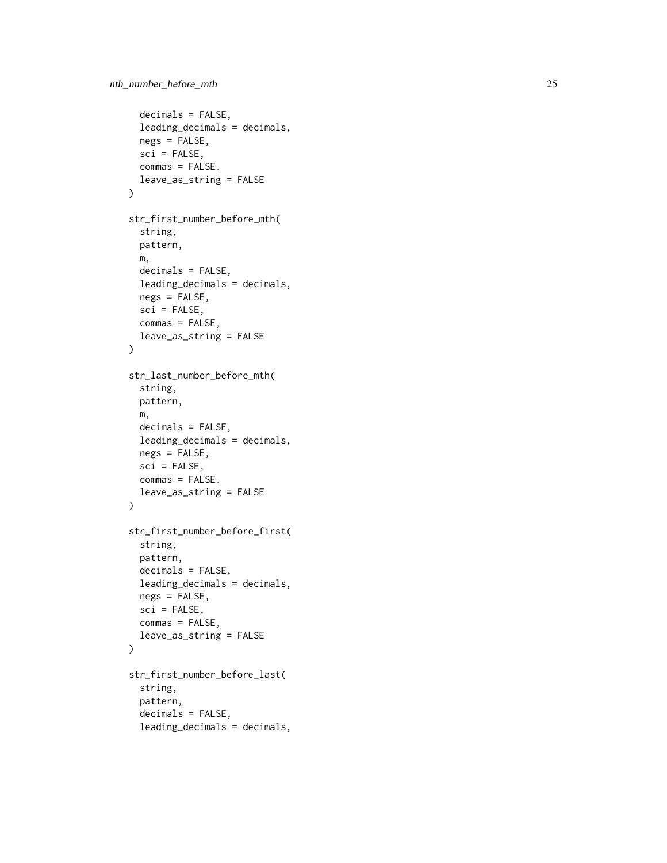```
decimals = FALSE,
  leading_decimals = decimals,
  negs = FALSE,
  sci = FALSE,commas = FALSE,
  leave_as_string = FALSE
\mathcal{L}str_first_number_before_mth(
  string,
 pattern,
 m,
 decimals = FALSE,
  leading_decimals = decimals,
 negs = FALSE,
  sci = FALSE,commas = FALSE,
  leave_as_string = FALSE
\lambdastr_last_number_before_mth(
  string,
 pattern,
 m,
  decimals = FALSE,
  leading_decimals = decimals,
  negs = FALSE,
  sci = FALSE,commas = FALSE,leave_as_string = FALSE
\mathcal{L}str_first_number_before_first(
  string,
  pattern,
  decimals = FALSE,
  leading_decimals = decimals,
 negs = FALSE,
  sci = FALSE,commas = FALSE,
  leave_as_string = FALSE
\mathcal{L}str_first_number_before_last(
  string,
  pattern,
  decimals = FALSE,
  leading_decimals = decimals,
```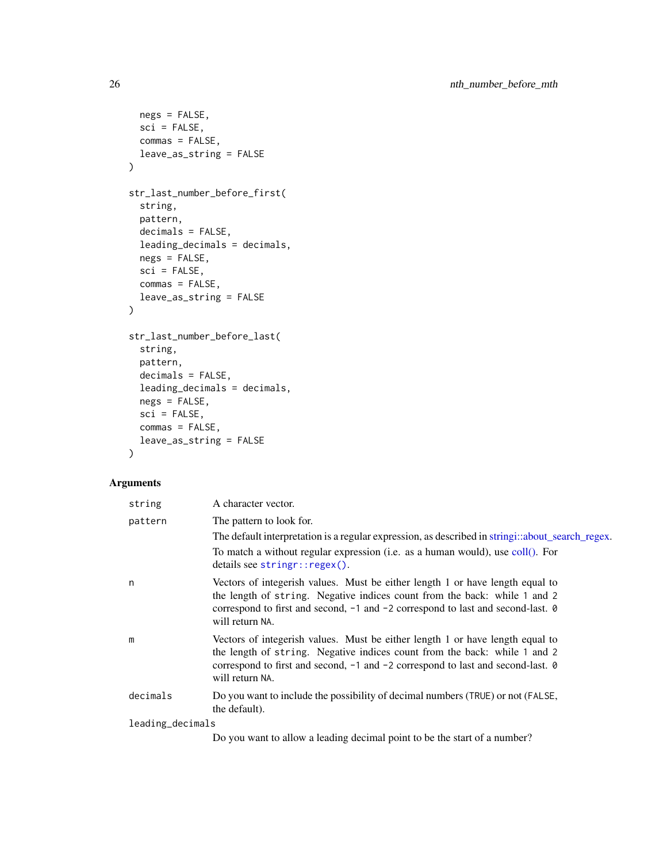```
negs = FALSE,
 sci = FALSE,
 commas = FALSE,
 leave_as_string = FALSE
\mathcal{L}str_last_number_before_first(
  string,
 pattern,
 decimals = FALSE,
 leading_decimals = decimals,
 negs = FALSE,
 sci = FALSE,commas = FALSE,leave_as_string = FALSE
\mathcal{L}str_last_number_before_last(
 string,
 pattern,
 decimals = FALSE,
 leading_decimals = decimals,
 negs = FALSE,
  sci = FALSE,commas = FALSE,
 leave_as_string = FALSE
\mathcal{L}
```

| string           | A character vector.                                                                                             |  |
|------------------|-----------------------------------------------------------------------------------------------------------------|--|
| pattern          | The pattern to look for.                                                                                        |  |
|                  | The default interpretation is a regular expression, as described in stringi::about_search_regex.                |  |
|                  | To match a without regular expression (i.e. as a human would), use coll(). For<br>details see stringr::regex(). |  |
| n                | Vectors of integerish values. Must be either length 1 or have length equal to                                   |  |
|                  | the length of string. Negative indices count from the back: while 1 and 2                                       |  |
|                  | correspond to first and second, -1 and -2 correspond to last and second-last. 0<br>will return NA.              |  |
| m                | Vectors of integerish values. Must be either length 1 or have length equal to                                   |  |
|                  | the length of string. Negative indices count from the back: while 1 and 2                                       |  |
|                  | correspond to first and second, $-1$ and $-2$ correspond to last and second-last. $\theta$<br>will return NA.   |  |
| decimals         | Do you want to include the possibility of decimal numbers (TRUE) or not (FALSE,<br>the default).                |  |
| leading_decimals |                                                                                                                 |  |
|                  | Do you want to allow a leading decimal point to be the start of a number?                                       |  |

<span id="page-25-0"></span>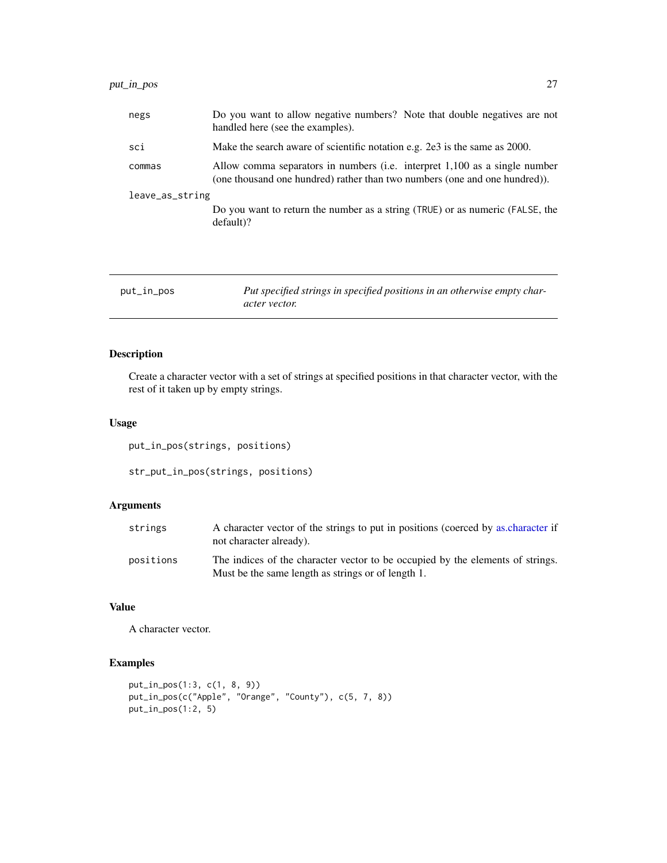<span id="page-26-0"></span>

| negs            | Do you want to allow negative numbers? Note that double negatives are not<br>handled here (see the examples).                                            |
|-----------------|----------------------------------------------------------------------------------------------------------------------------------------------------------|
| sci             | Make the search aware of scientific notation e.g. 2e3 is the same as 2000.                                                                               |
| commas          | Allow comma separators in numbers (i.e. interpret 1,100 as a single number<br>(one thousand one hundred) rather than two numbers (one and one hundred)). |
| leave_as_string |                                                                                                                                                          |
|                 | Do you want to return the number as a string (TRUE) or as numeric (FALSE, the<br>$default$ ?                                                             |
|                 |                                                                                                                                                          |
|                 |                                                                                                                                                          |

| put_in_pos | Put specified strings in specified positions in an otherwise empty char- |
|------------|--------------------------------------------------------------------------|
|            | <i>acter vector.</i>                                                     |

### Description

Create a character vector with a set of strings at specified positions in that character vector, with the rest of it taken up by empty strings.

### Usage

```
put_in_pos(strings, positions)
```
str\_put\_in\_pos(strings, positions)

### Arguments

| strings   | A character vector of the strings to put in positions (coerced by as character if<br>not character already).                         |
|-----------|--------------------------------------------------------------------------------------------------------------------------------------|
| positions | The indices of the character vector to be occupied by the elements of strings.<br>Must be the same length as strings or of length 1. |

### Value

A character vector.

### Examples

```
put_in_pos(1:3, c(1, 8, 9))
put_in_pos(c("Apple", "Orange", "County"), c(5, 7, 8))
put_in_pos(1:2, 5)
```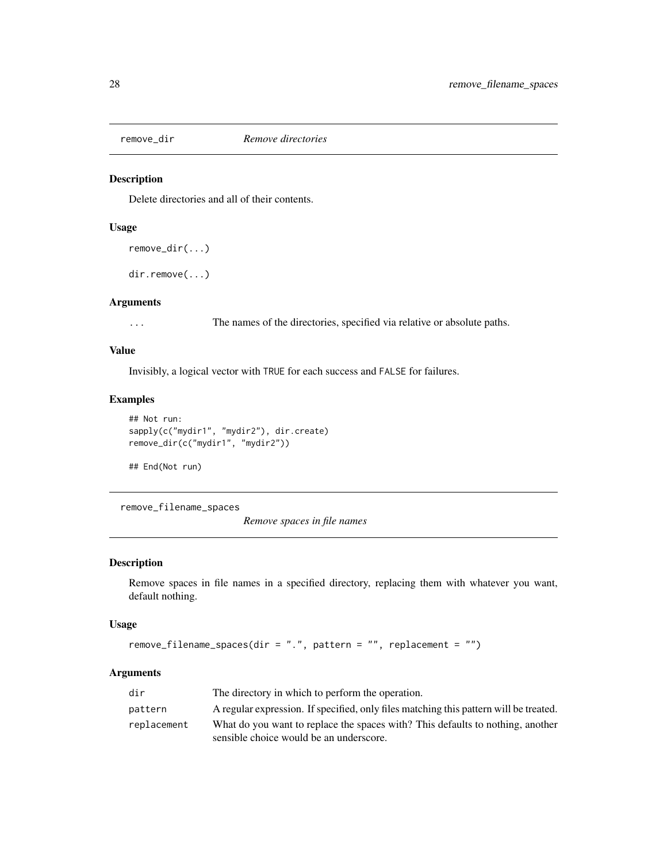<span id="page-27-0"></span>

#### Description

Delete directories and all of their contents.

### Usage

```
remove_dir(...)
```
dir.remove(...)

#### Arguments

... The names of the directories, specified via relative or absolute paths.

### Value

Invisibly, a logical vector with TRUE for each success and FALSE for failures.

### Examples

```
## Not run:
sapply(c("mydir1", "mydir2"), dir.create)
remove_dir(c("mydir1", "mydir2"))
```
## End(Not run)

remove\_filename\_spaces

*Remove spaces in file names*

#### Description

Remove spaces in file names in a specified directory, replacing them with whatever you want, default nothing.

#### Usage

```
remove_filename_spaces(dir = ".", pattern = "", replacement = "")
```

| dir         | The directory in which to perform the operation.                                      |
|-------------|---------------------------------------------------------------------------------------|
| pattern     | A regular expression. If specified, only files matching this pattern will be treated. |
| replacement | What do you want to replace the spaces with? This defaults to nothing, another        |
|             | sensible choice would be an underscore.                                               |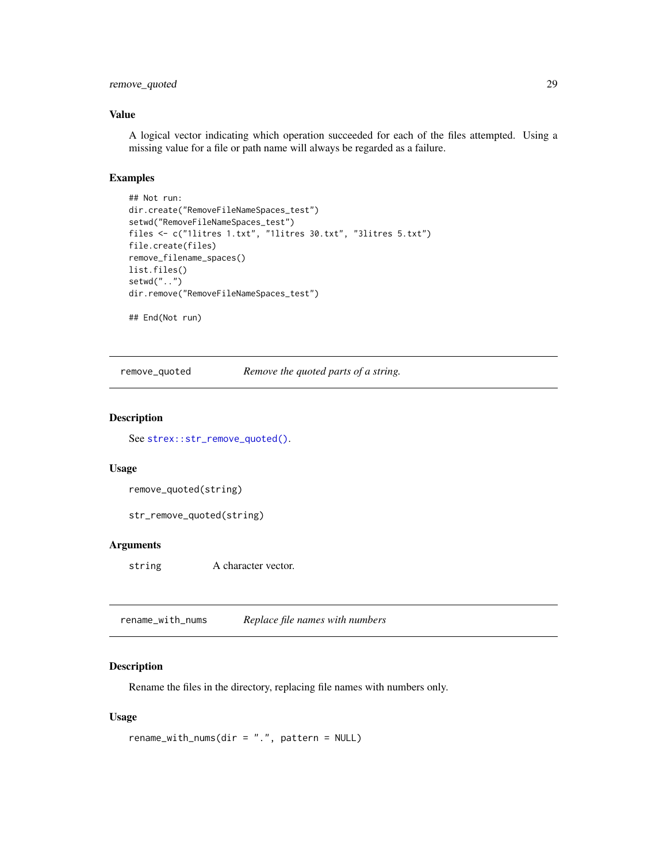### <span id="page-28-0"></span>remove\_quoted 29

#### Value

A logical vector indicating which operation succeeded for each of the files attempted. Using a missing value for a file or path name will always be regarded as a failure.

#### Examples

```
## Not run:
dir.create("RemoveFileNameSpaces_test")
setwd("RemoveFileNameSpaces_test")
files <- c("1litres 1.txt", "1litres 30.txt", "3litres 5.txt")
file.create(files)
remove_filename_spaces()
list.files()
setwd("..")
dir.remove("RemoveFileNameSpaces_test")
```
## End(Not run)

remove\_quoted *Remove the quoted parts of a string.*

#### Description

See [strex::str\\_remove\\_quoted\(\)](#page-0-0).

#### Usage

```
remove_quoted(string)
```
str\_remove\_quoted(string)

#### Arguments

string A character vector.

rename\_with\_nums *Replace file names with numbers*

#### Description

Rename the files in the directory, replacing file names with numbers only.

#### Usage

```
rename_with_nums(dir = ".", pattern = NULL)
```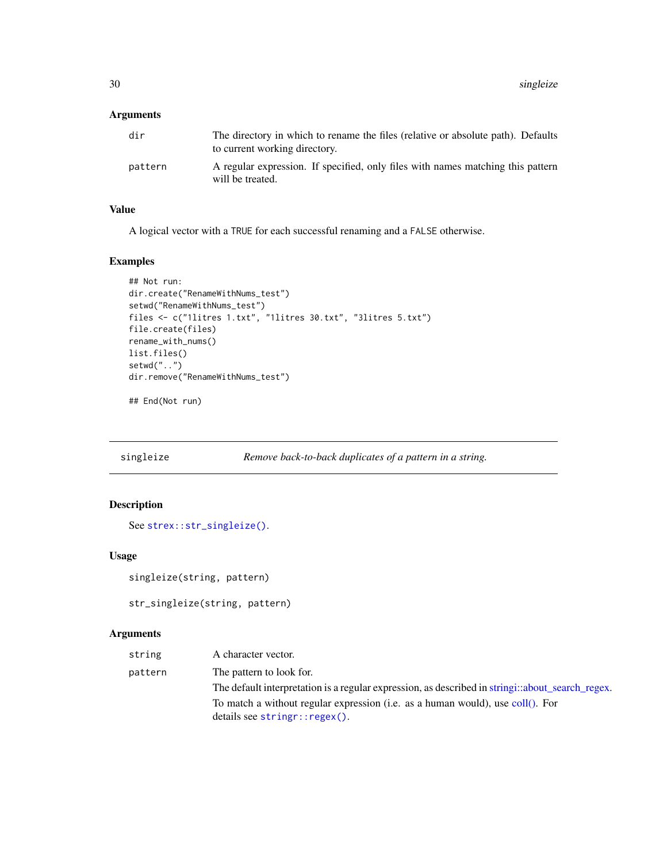### <span id="page-29-0"></span>Arguments

| dir     | The directory in which to rename the files (relative or absolute path). Defaults<br>to current working directory. |
|---------|-------------------------------------------------------------------------------------------------------------------|
| pattern | A regular expression. If specified, only files with names matching this pattern<br>will be treated.               |

### Value

A logical vector with a TRUE for each successful renaming and a FALSE otherwise.

#### Examples

```
## Not run:
dir.create("RenameWithNums_test")
setwd("RenameWithNums_test")
files <- c("1litres 1.txt", "1litres 30.txt", "3litres 5.txt")
file.create(files)
rename_with_nums()
list.files()
setwd("..")
dir.remove("RenameWithNums_test")
```
## End(Not run)

```
singleize Remove back-to-back duplicates of a pattern in a string.
```
### Description

```
See strex::str_singleize().
```
### Usage

```
singleize(string, pattern)
```

```
str_singleize(string, pattern)
```

| string  | A character vector.                                                                              |
|---------|--------------------------------------------------------------------------------------------------|
| pattern | The pattern to look for.                                                                         |
|         | The default interpretation is a regular expression, as described in stringi::about_search_regex. |
|         | To match a without regular expression (i.e. as a human would), use coll(). For                   |
|         | $details$ see stringr::regex().                                                                  |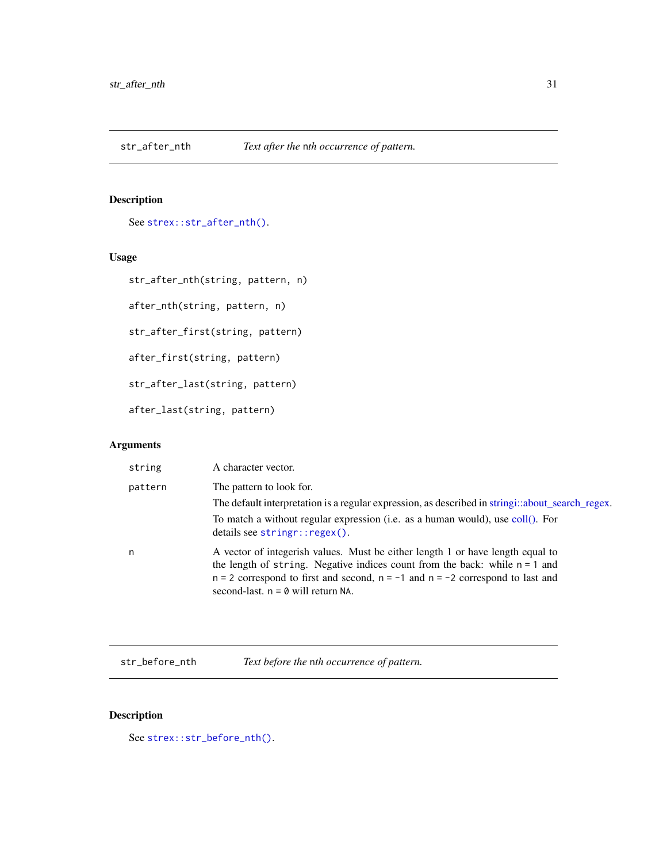<span id="page-30-0"></span>

### Description

See [strex::str\\_after\\_nth\(\)](#page-0-0).

### Usage

```
str_after_nth(string, pattern, n)
```
after\_nth(string, pattern, n)

str\_after\_first(string, pattern)

after\_first(string, pattern)

str\_after\_last(string, pattern)

after\_last(string, pattern)

### Arguments

| string  | A character vector.                                                                                                                                                                                                                                                                             |
|---------|-------------------------------------------------------------------------------------------------------------------------------------------------------------------------------------------------------------------------------------------------------------------------------------------------|
| pattern | The pattern to look for.                                                                                                                                                                                                                                                                        |
|         | The default interpretation is a regular expression, as described in stringi::about_search_regex.                                                                                                                                                                                                |
|         | To match a without regular expression (i.e. as a human would), use coll(). For<br>details see stringr::regex().                                                                                                                                                                                 |
| n       | A vector of integerish values. Must be either length 1 or have length equal to<br>the length of string. Negative indices count from the back: while $n = 1$ and<br>$n = 2$ correspond to first and second, $n = -1$ and $n = -2$ correspond to last and<br>second-last. $n = 0$ will return NA. |

str\_before\_nth *Text before the* n*th occurrence of pattern.*

### Description

See [strex::str\\_before\\_nth\(\)](#page-0-0).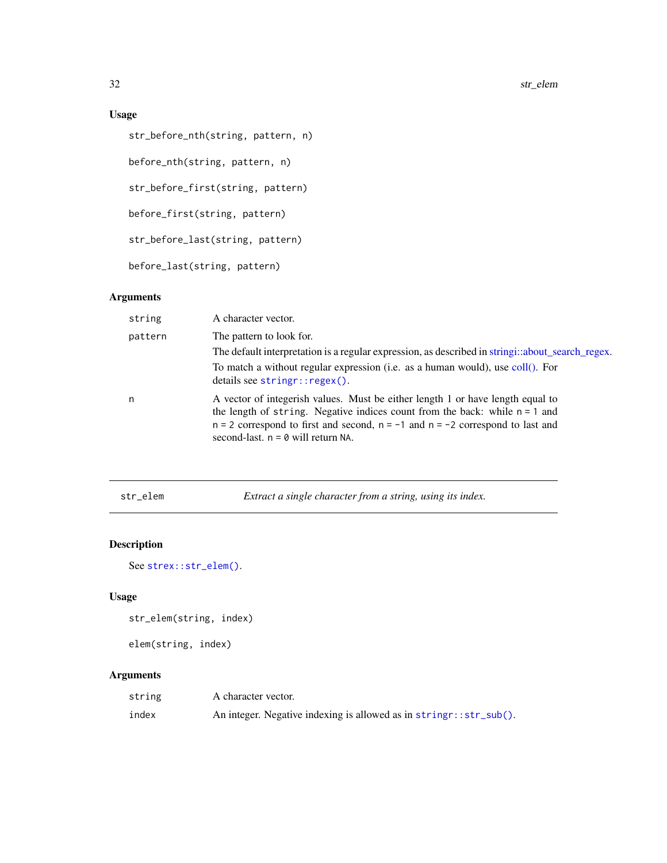32 str\_elem

### Usage

```
str_before_nth(string, pattern, n)
before_nth(string, pattern, n)
str_before_first(string, pattern)
before_first(string, pattern)
str_before_last(string, pattern)
before_last(string, pattern)
```
### Arguments

| string  | A character vector.                                                                                                                                                                                                                                                                             |
|---------|-------------------------------------------------------------------------------------------------------------------------------------------------------------------------------------------------------------------------------------------------------------------------------------------------|
| pattern | The pattern to look for.<br>The default interpretation is a regular expression, as described in stringi::about_search_regex.<br>To match a without regular expression (i.e. as a human would), use coll(). For<br>details see stringr::regex().                                                 |
| n       | A vector of integerish values. Must be either length 1 or have length equal to<br>the length of string. Negative indices count from the back: while $n = 1$ and<br>$n = 2$ correspond to first and second, $n = -1$ and $n = -2$ correspond to last and<br>second-last. $n = 0$ will return NA. |

str\_elem *Extract a single character from a string, using its index.*

### Description

See [strex::str\\_elem\(\)](#page-0-0).

### Usage

str\_elem(string, index)

elem(string, index)

| string | A character vector.                                                |
|--------|--------------------------------------------------------------------|
| index  | An integer. Negative indexing is allowed as in stringr::str_sub(). |

<span id="page-31-0"></span>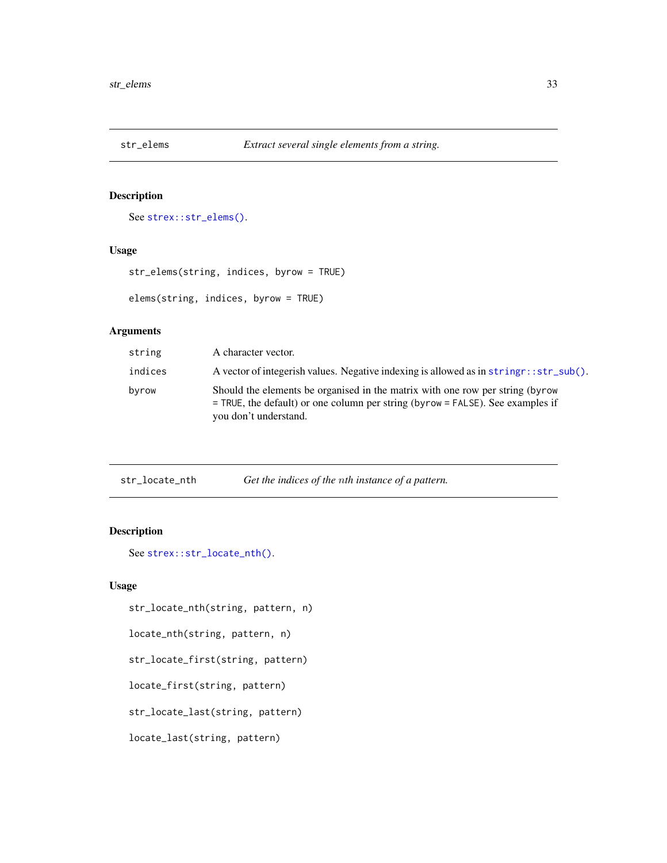<span id="page-32-0"></span>

### Description

See [strex::str\\_elems\(\)](#page-0-0).

#### Usage

```
str_elems(string, indices, byrow = TRUE)
elems(string, indices, byrow = TRUE)
```
### Arguments

| string  | A character vector.                                                                                                                                                                          |
|---------|----------------------------------------------------------------------------------------------------------------------------------------------------------------------------------------------|
| indices | A vector of integerish values. Negative indexing is allowed as in string r:: str_sub().                                                                                                      |
| byrow   | Should the elements be organised in the matrix with one row per string (byrow<br>$=$ TRUE, the default) or one column per string (byrow $=$ FALSE). See examples if<br>you don't understand. |

| str_locate_nth |  | Get the indices of the nth instance of a pattern. |
|----------------|--|---------------------------------------------------|
|----------------|--|---------------------------------------------------|

### Description

```
See strex::str_locate_nth().
```
#### Usage

```
str_locate_nth(string, pattern, n)
```

```
locate_nth(string, pattern, n)
```

```
str_locate_first(string, pattern)
```

```
locate_first(string, pattern)
```
str\_locate\_last(string, pattern)

locate\_last(string, pattern)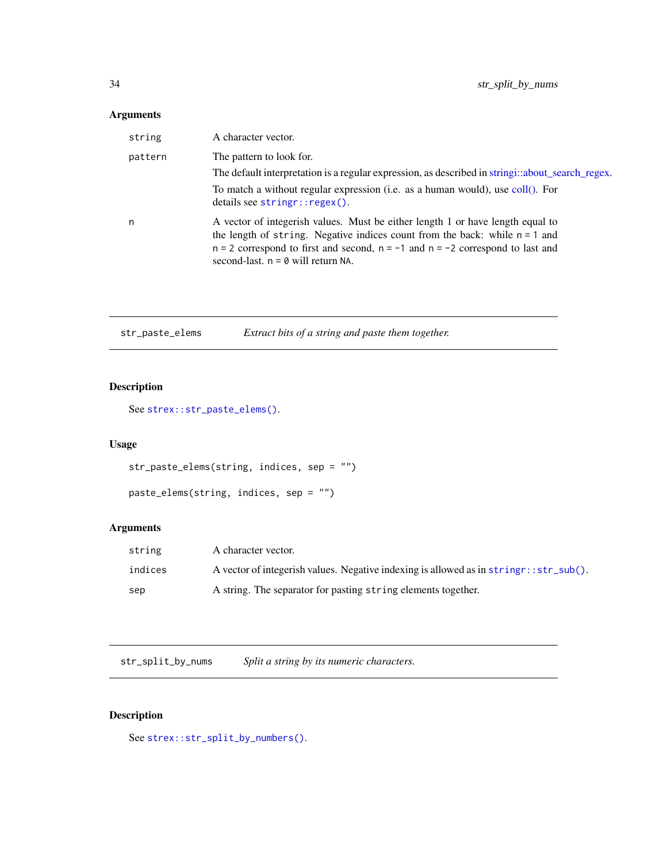### <span id="page-33-0"></span>Arguments

| string  | A character vector.                                                                                                                                                                                                                                                                             |
|---------|-------------------------------------------------------------------------------------------------------------------------------------------------------------------------------------------------------------------------------------------------------------------------------------------------|
| pattern | The pattern to look for.                                                                                                                                                                                                                                                                        |
|         | The default interpretation is a regular expression, as described in stringi::about_search_regex.                                                                                                                                                                                                |
|         | To match a without regular expression (i.e. as a human would), use coll(). For<br>details see stringr::regex().                                                                                                                                                                                 |
| n       | A vector of integerish values. Must be either length 1 or have length equal to<br>the length of string. Negative indices count from the back: while $n = 1$ and<br>$n = 2$ correspond to first and second, $n = -1$ and $n = -2$ correspond to last and<br>second-last. $n = 0$ will return NA. |

| str_paste_elems |  | Extract bits of a string and paste them together. |
|-----------------|--|---------------------------------------------------|
|                 |  |                                                   |

### Description

```
See strex::str_paste_elems().
```
### Usage

```
str_paste_elems(string, indices, sep = "")
```

```
paste_elems(string, indices, sep = "")
```
### Arguments

| string  | A character vector.                                                                     |
|---------|-----------------------------------------------------------------------------------------|
| indices | A vector of integerish values. Negative indexing is allowed as in string r:: str_sub(). |
| sep     | A string. The separator for pasting string elements together.                           |

str\_split\_by\_nums *Split a string by its numeric characters.*

### Description

See [strex::str\\_split\\_by\\_numbers\(\)](#page-0-0).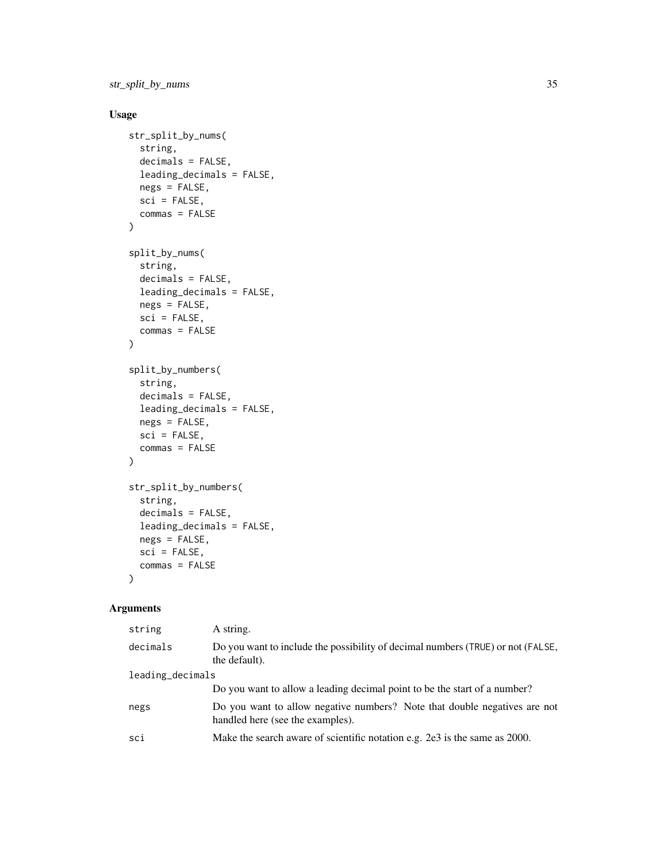str\_split\_by\_nums 35

### Usage

```
str_split_by_nums(
  string,
  decimals = FALSE,
  leading_decimals = FALSE,
 negs = FALSE,
  sci = FALSE,commas = FALSE
\lambdasplit_by_nums(
  string,
  decimals = FALSE,
 leading_decimals = FALSE,
 negs = FALSE,
  sci = FALSE,commas = FALSE
\mathcal{L}split_by_numbers(
  string,
  decimals = FALSE,
 leading_decimals = FALSE,
 negs = FALSE,sci = FALSE,commas = FALSE
\mathcal{L}str_split_by_numbers(
  string,
 decimals = FALSE,
 leading_decimals = FALSE,
 negs = FALSE,
  sci = FALSE,
  commas = FALSE
\mathcal{L}
```

| string           | A string.                                                                                                     |
|------------------|---------------------------------------------------------------------------------------------------------------|
| decimals         | Do you want to include the possibility of decimal numbers (TRUE) or not (FALSE,<br>the default).              |
| leading_decimals |                                                                                                               |
|                  | Do you want to allow a leading decimal point to be the start of a number?                                     |
| negs             | Do you want to allow negative numbers? Note that double negatives are not<br>handled here (see the examples). |
| sci              | Make the search aware of scientific notation e.g. 2e3 is the same as 2000.                                    |
|                  |                                                                                                               |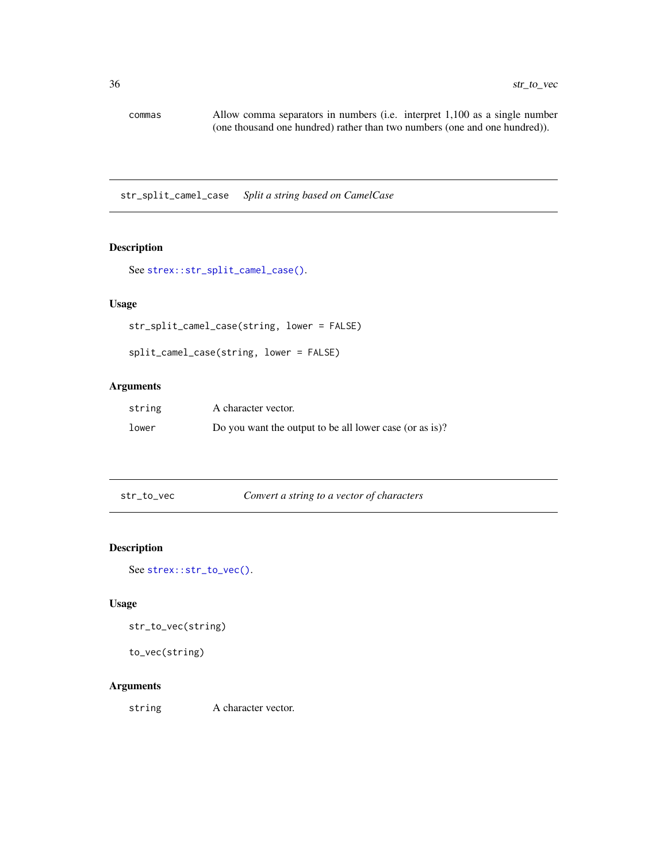<span id="page-35-0"></span>commas Allow comma separators in numbers (i.e. interpret 1,100 as a single number (one thousand one hundred) rather than two numbers (one and one hundred)).

str\_split\_camel\_case *Split a string based on CamelCase*

### Description

```
See strex::str_split_camel_case().
```
### Usage

str\_split\_camel\_case(string, lower = FALSE)

```
split_camel_case(string, lower = FALSE)
```
### Arguments

| string | A character vector.                                     |
|--------|---------------------------------------------------------|
| lower  | Do you want the output to be all lower case (or as is)? |

str\_to\_vec *Convert a string to a vector of characters*

### Description

See [strex::str\\_to\\_vec\(\)](#page-0-0).

#### Usage

```
str_to_vec(string)
```

```
to_vec(string)
```
#### Arguments

string A character vector.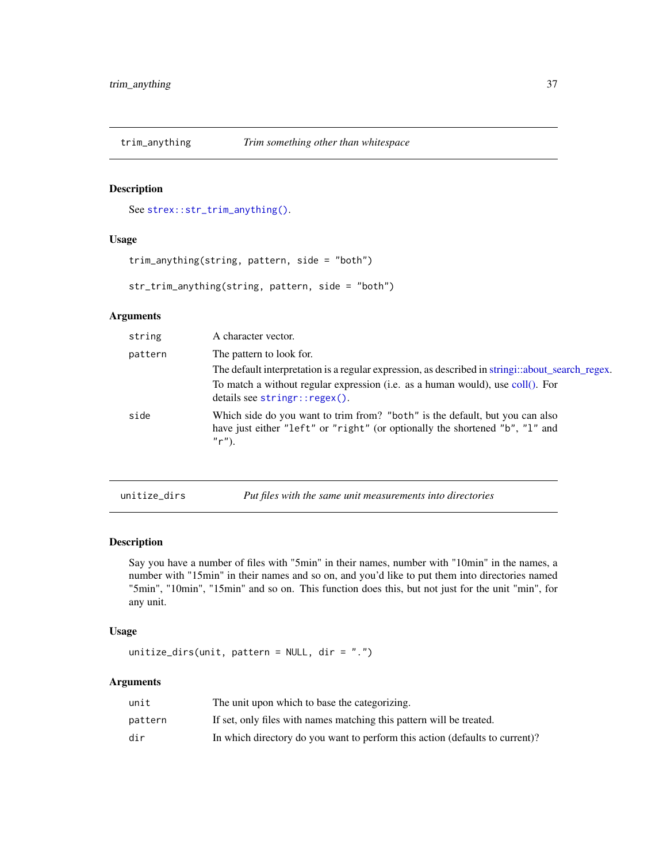<span id="page-36-0"></span>

### Description

See [strex::str\\_trim\\_anything\(\)](#page-0-0).

### Usage

```
trim_anything(string, pattern, side = "both")
```
str\_trim\_anything(string, pattern, side = "both")

#### Arguments

| string  | A character vector.                                                                                                                                                      |
|---------|--------------------------------------------------------------------------------------------------------------------------------------------------------------------------|
| pattern | The pattern to look for.                                                                                                                                                 |
|         | The default interpretation is a regular expression, as described in stringi::about_search_regex.                                                                         |
|         | To match a without regular expression (i.e. as a human would), use coll(). For<br>details see stringr::regex().                                                          |
| side    | Which side do you want to trim from? "both" is the default, but you can also<br>have just either "left" or "right" (or optionally the shortened "b", "l" and<br>$"r"$ ). |
|         |                                                                                                                                                                          |

| unitize_dirs |  | Put files with the same unit measurements into directories |  |
|--------------|--|------------------------------------------------------------|--|
|--------------|--|------------------------------------------------------------|--|

#### Description

Say you have a number of files with "5min" in their names, number with "10min" in the names, a number with "15min" in their names and so on, and you'd like to put them into directories named "5min", "10min", "15min" and so on. This function does this, but not just for the unit "min", for any unit.

### Usage

```
unitize_dirs(unit, pattern = NULL, dir = ".")
```

| unit    | The unit upon which to base the categorizing.                                |
|---------|------------------------------------------------------------------------------|
| pattern | If set, only files with names matching this pattern will be treated.         |
| dir     | In which directory do you want to perform this action (defaults to current)? |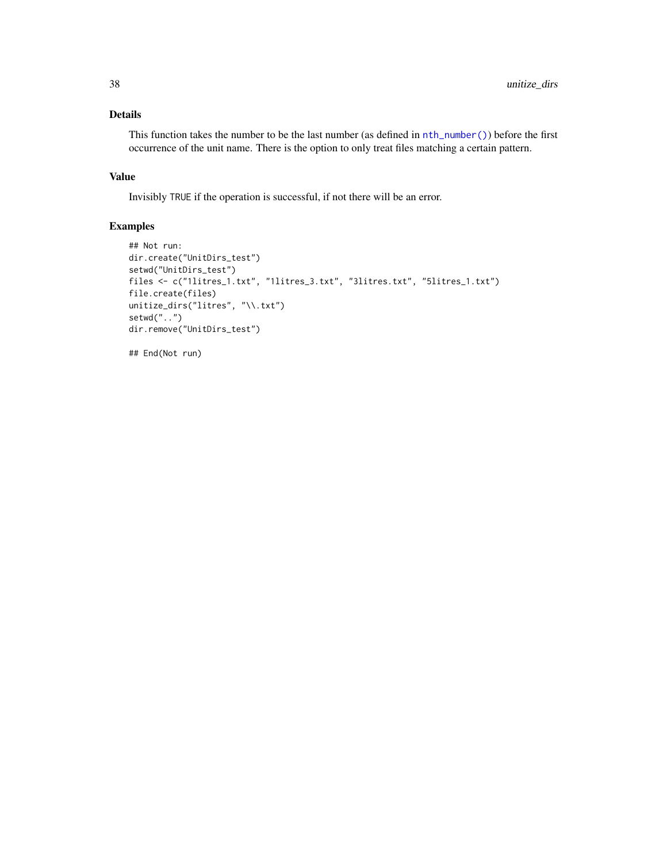### <span id="page-37-0"></span>Details

This function takes the number to be the last number (as defined in [nth\\_number\(\)](#page-8-1)) before the first occurrence of the unit name. There is the option to only treat files matching a certain pattern.

#### Value

Invisibly TRUE if the operation is successful, if not there will be an error.

### Examples

```
## Not run:
dir.create("UnitDirs_test")
setwd("UnitDirs_test")
files <- c("1litres_1.txt", "1litres_3.txt", "3litres.txt", "5litres_1.txt")
file.create(files)
unitize_dirs("litres", "\\.txt")
setwd("..")
dir.remove("UnitDirs_test")
```
## End(Not run)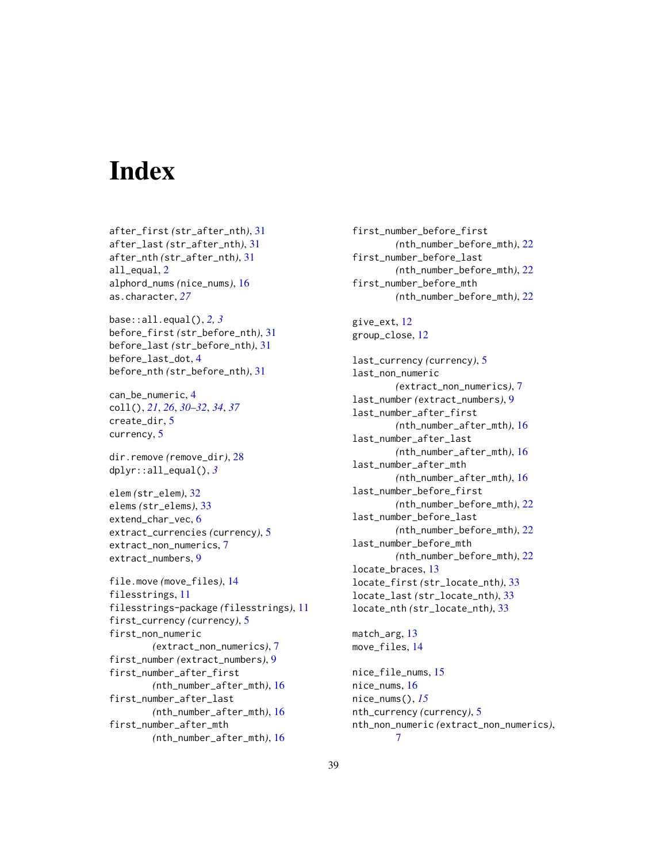# <span id="page-38-0"></span>**Index**

after\_first *(*str\_after\_nth*)*, [31](#page-30-0) after\_last *(*str\_after\_nth*)*, [31](#page-30-0) after\_nth *(*str\_after\_nth*)*, [31](#page-30-0) all\_equal, [2](#page-1-0) alphord\_nums *(*nice\_nums*)*, [16](#page-15-0) as.character, *[27](#page-26-0)*

base::all.equal(), *[2,](#page-1-0) [3](#page-2-0)* before\_first *(*str\_before\_nth*)*, [31](#page-30-0) before\_last *(*str\_before\_nth*)*, [31](#page-30-0) before\_last\_dot, [4](#page-3-0) before\_nth *(*str\_before\_nth*)*, [31](#page-30-0)

can\_be\_numeric, [4](#page-3-0) coll(), *[21](#page-20-0)*, *[26](#page-25-0)*, *[30](#page-29-0)[–32](#page-31-0)*, *[34](#page-33-0)*, *[37](#page-36-0)* create\_dir, [5](#page-4-0) currency, [5](#page-4-0)

dir.remove *(*remove\_dir*)*, [28](#page-27-0) dplyr::all\_equal(), *[3](#page-2-0)*

elem *(*str\_elem*)*, [32](#page-31-0) elems *(*str\_elems*)*, [33](#page-32-0) extend\_char\_vec, [6](#page-5-0) extract\_currencies *(*currency*)*, [5](#page-4-0) extract\_non\_numerics, [7](#page-6-0) extract\_numbers, [9](#page-8-0)

file.move *(*move\_files*)*, [14](#page-13-0) filesstrings, [11](#page-10-0) filesstrings-package *(*filesstrings*)*, [11](#page-10-0) first\_currency *(*currency*)*, [5](#page-4-0) first\_non\_numeric *(*extract\_non\_numerics*)*, [7](#page-6-0) first\_number *(*extract\_numbers*)*, [9](#page-8-0) first\_number\_after\_first *(*nth\_number\_after\_mth*)*, [16](#page-15-0) first\_number\_after\_last *(*nth\_number\_after\_mth*)*, [16](#page-15-0) first\_number\_after\_mth *(*nth\_number\_after\_mth*)*, [16](#page-15-0)

first\_number\_before\_first *(*nth\_number\_before\_mth*)*, [22](#page-21-0) first\_number\_before\_last *(*nth\_number\_before\_mth*)*, [22](#page-21-0) first\_number\_before\_mth *(*nth\_number\_before\_mth*)*, [22](#page-21-0)

give\_ext, [12](#page-11-0) group\_close, [12](#page-11-0)

last\_currency *(*currency*)*, [5](#page-4-0) last\_non\_numeric *(*extract\_non\_numerics*)*, [7](#page-6-0) last\_number *(*extract\_numbers*)*, [9](#page-8-0) last\_number\_after\_first *(*nth\_number\_after\_mth*)*, [16](#page-15-0) last\_number\_after\_last *(*nth\_number\_after\_mth*)*, [16](#page-15-0) last\_number\_after\_mth *(*nth\_number\_after\_mth*)*, [16](#page-15-0) last\_number\_before\_first *(*nth\_number\_before\_mth*)*, [22](#page-21-0) last\_number\_before\_last *(*nth\_number\_before\_mth*)*, [22](#page-21-0) last\_number\_before\_mth *(*nth\_number\_before\_mth*)*, [22](#page-21-0) locate\_braces, [13](#page-12-0) locate\_first *(*str\_locate\_nth*)*, [33](#page-32-0) locate\_last *(*str\_locate\_nth*)*, [33](#page-32-0) locate\_nth *(*str\_locate\_nth*)*, [33](#page-32-0)

match\_arg, [13](#page-12-0) move\_files, [14](#page-13-0) nice\_file\_nums, [15](#page-14-0) nice\_nums, [16](#page-15-0) nice\_nums(), *[15](#page-14-0)*

nth\_currency *(*currency*)*, [5](#page-4-0) nth\_non\_numeric *(*extract\_non\_numerics*)*, [7](#page-6-0)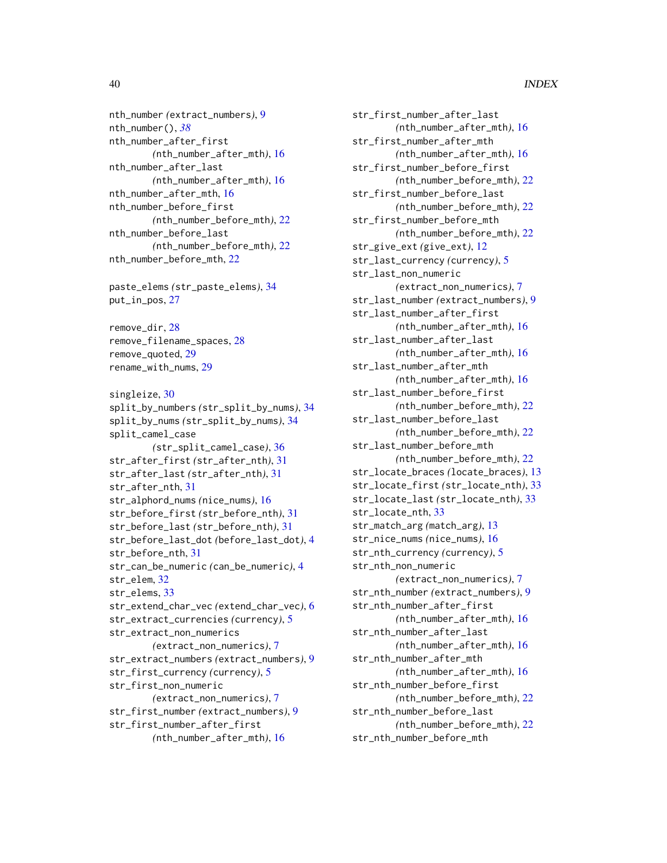nth\_number *(*extract\_numbers*)*, [9](#page-8-0) nth\_number(), *[38](#page-37-0)* nth\_number\_after\_first *(*nth\_number\_after\_mth*)*, [16](#page-15-0) nth\_number\_after\_last *(*nth\_number\_after\_mth*)*, [16](#page-15-0) nth\_number\_after\_mth, [16](#page-15-0) nth\_number\_before\_first *(*nth\_number\_before\_mth*)*, [22](#page-21-0) nth\_number\_before\_last *(*nth\_number\_before\_mth*)*, [22](#page-21-0) nth\_number\_before\_mth, [22](#page-21-0)

paste\_elems *(*str\_paste\_elems*)*, [34](#page-33-0) put\_in\_pos, [27](#page-26-0)

remove\_dir, [28](#page-27-0) remove\_filename\_spaces, [28](#page-27-0) remove\_quoted, [29](#page-28-0) rename\_with\_nums, [29](#page-28-0)

singleize, [30](#page-29-0) split\_by\_numbers *(*str\_split\_by\_nums*)*, [34](#page-33-0) split\_by\_nums *(*str\_split\_by\_nums*)*, [34](#page-33-0) split\_camel\_case *(*str\_split\_camel\_case*)*, [36](#page-35-0) str\_after\_first *(*str\_after\_nth*)*, [31](#page-30-0) str\_after\_last *(*str\_after\_nth*)*, [31](#page-30-0) str\_after\_nth, [31](#page-30-0) str\_alphord\_nums *(*nice\_nums*)*, [16](#page-15-0) str\_before\_first *(*str\_before\_nth*)*, [31](#page-30-0) str\_before\_last *(*str\_before\_nth*)*, [31](#page-30-0) str\_before\_last\_dot *(*before\_last\_dot*)*, [4](#page-3-0) str\_before\_nth, [31](#page-30-0) str\_can\_be\_numeric *(*can\_be\_numeric*)*, [4](#page-3-0) str\_elem, [32](#page-31-0) str\_elems, [33](#page-32-0) str\_extend\_char\_vec *(*extend\_char\_vec*)*, [6](#page-5-0) str\_extract\_currencies *(*currency*)*, [5](#page-4-0) str\_extract\_non\_numerics *(*extract\_non\_numerics*)*, [7](#page-6-0) str\_extract\_numbers *(*extract\_numbers*)*, [9](#page-8-0) str\_first\_currency *(*currency*)*, [5](#page-4-0) str\_first\_non\_numeric *(*extract\_non\_numerics*)*, [7](#page-6-0) str\_first\_number *(*extract\_numbers*)*, [9](#page-8-0) str\_first\_number\_after\_first *(*nth\_number\_after\_mth*)*, [16](#page-15-0)

str\_first\_number\_after\_last *(*nth\_number\_after\_mth*)*, [16](#page-15-0) str\_first\_number\_after\_mth *(*nth\_number\_after\_mth*)*, [16](#page-15-0) str\_first\_number\_before\_first *(*nth\_number\_before\_mth*)*, [22](#page-21-0) str\_first\_number\_before\_last *(*nth\_number\_before\_mth*)*, [22](#page-21-0) str\_first\_number\_before\_mth *(*nth\_number\_before\_mth*)*, [22](#page-21-0) str\_give\_ext *(*give\_ext*)*, [12](#page-11-0) str\_last\_currency *(*currency*)*, [5](#page-4-0) str\_last\_non\_numeric *(*extract\_non\_numerics*)*, [7](#page-6-0) str\_last\_number *(*extract\_numbers*)*, [9](#page-8-0) str\_last\_number\_after\_first *(*nth\_number\_after\_mth*)*, [16](#page-15-0) str\_last\_number\_after\_last *(*nth\_number\_after\_mth*)*, [16](#page-15-0) str\_last\_number\_after\_mth *(*nth\_number\_after\_mth*)*, [16](#page-15-0) str\_last\_number\_before\_first *(*nth\_number\_before\_mth*)*, [22](#page-21-0) str\_last\_number\_before\_last *(*nth\_number\_before\_mth*)*, [22](#page-21-0) str\_last\_number\_before\_mth *(*nth\_number\_before\_mth*)*, [22](#page-21-0) str\_locate\_braces *(*locate\_braces*)*, [13](#page-12-0) str\_locate\_first *(*str\_locate\_nth*)*, [33](#page-32-0) str\_locate\_last *(*str\_locate\_nth*)*, [33](#page-32-0) str\_locate\_nth, [33](#page-32-0) str\_match\_arg *(*match\_arg*)*, [13](#page-12-0) str\_nice\_nums *(*nice\_nums*)*, [16](#page-15-0) str\_nth\_currency *(*currency*)*, [5](#page-4-0) str\_nth\_non\_numeric *(*extract\_non\_numerics*)*, [7](#page-6-0) str\_nth\_number *(*extract\_numbers*)*, [9](#page-8-0) str\_nth\_number\_after\_first *(*nth\_number\_after\_mth*)*, [16](#page-15-0) str\_nth\_number\_after\_last *(*nth\_number\_after\_mth*)*, [16](#page-15-0) str\_nth\_number\_after\_mth *(*nth\_number\_after\_mth*)*, [16](#page-15-0) str\_nth\_number\_before\_first *(*nth\_number\_before\_mth*)*, [22](#page-21-0) str\_nth\_number\_before\_last *(*nth\_number\_before\_mth*)*, [22](#page-21-0) str\_nth\_number\_before\_mth